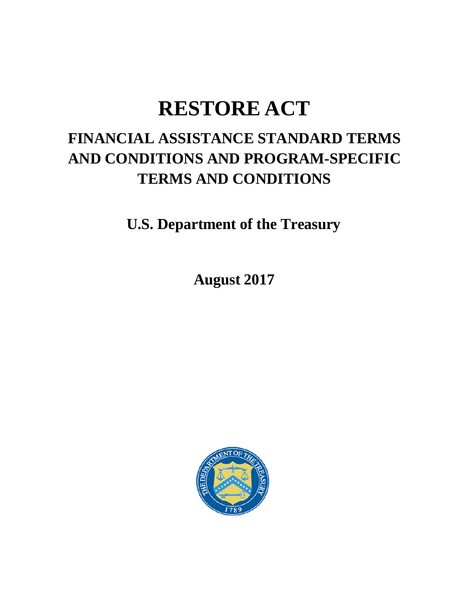# **RESTORE ACT**

## **FINANCIAL ASSISTANCE STANDARD TERMS AND CONDITIONS AND PROGRAM-SPECIFIC TERMS AND CONDITIONS**

**U.S. Department of the Treasury**

**August 2017**

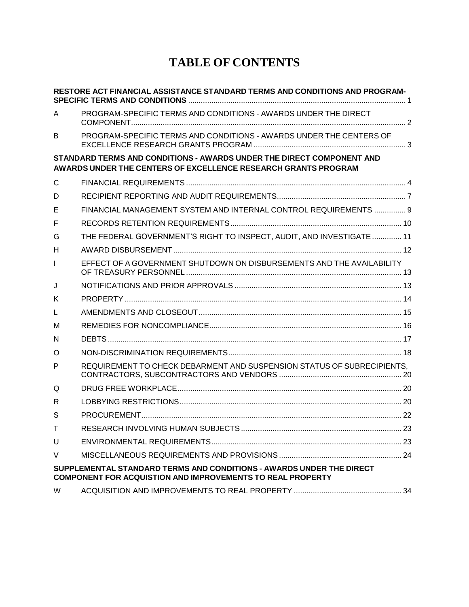### **TABLE OF CONTENTS**

|              | RESTORE ACT FINANCIAL ASSISTANCE STANDARD TERMS AND CONDITIONS AND PROGRAM-                                                               |  |
|--------------|-------------------------------------------------------------------------------------------------------------------------------------------|--|
| A            | PROGRAM-SPECIFIC TERMS AND CONDITIONS - AWARDS UNDER THE DIRECT                                                                           |  |
| B            | PROGRAM-SPECIFIC TERMS AND CONDITIONS - AWARDS UNDER THE CENTERS OF                                                                       |  |
|              | STANDARD TERMS AND CONDITIONS - AWARDS UNDER THE DIRECT COMPONENT AND<br>AWARDS UNDER THE CENTERS OF EXCELLENCE RESEARCH GRANTS PROGRAM   |  |
| C            |                                                                                                                                           |  |
| D            |                                                                                                                                           |  |
| E            | FINANCIAL MANAGEMENT SYSTEM AND INTERNAL CONTROL REQUIREMENTS  9                                                                          |  |
| F            |                                                                                                                                           |  |
| G            | THE FEDERAL GOVERNMENT'S RIGHT TO INSPECT, AUDIT, AND INVESTIGATE  11                                                                     |  |
| H            |                                                                                                                                           |  |
| $\mathbf{I}$ | EFFECT OF A GOVERNMENT SHUTDOWN ON DISBURSEMENTS AND THE AVAILABILITY                                                                     |  |
| J            |                                                                                                                                           |  |
| K            |                                                                                                                                           |  |
| L            |                                                                                                                                           |  |
| M            |                                                                                                                                           |  |
| N            |                                                                                                                                           |  |
| O            |                                                                                                                                           |  |
| P            | REQUIREMENT TO CHECK DEBARMENT AND SUSPENSION STATUS OF SUBRECIPIENTS,                                                                    |  |
| Q            |                                                                                                                                           |  |
| R            |                                                                                                                                           |  |
| S            |                                                                                                                                           |  |
| T.           |                                                                                                                                           |  |
| U            |                                                                                                                                           |  |
| V            |                                                                                                                                           |  |
|              | SUPPLEMENTAL STANDARD TERMS AND CONDITIONS - AWARDS UNDER THE DIRECT<br><b>COMPONENT FOR ACQUISTION AND IMPROVEMENTS TO REAL PROPERTY</b> |  |
| W            |                                                                                                                                           |  |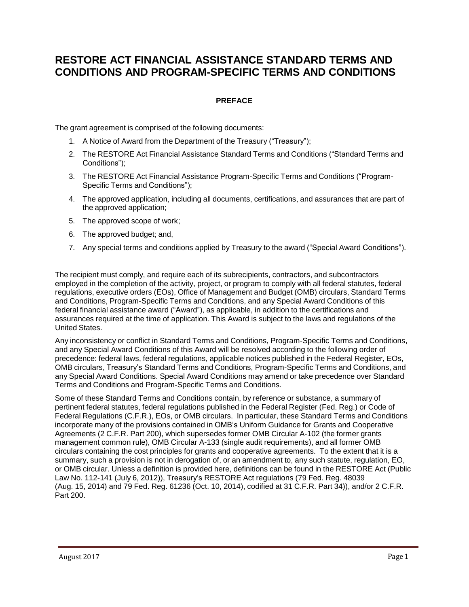#### <span id="page-2-0"></span>**RESTORE ACT FINANCIAL ASSISTANCE STANDARD TERMS AND CONDITIONS AND PROGRAM-SPECIFIC TERMS AND CONDITIONS**

#### **PREFACE**

The grant agreement is comprised of the following documents:

- 1. A Notice of Award from the Department of the Treasury ("Treasury");
- 2. The RESTORE Act Financial Assistance Standard Terms and Conditions ("Standard Terms and Conditions");
- 3. The RESTORE Act Financial Assistance Program-Specific Terms and Conditions ("Program-Specific Terms and Conditions");
- 4. The approved application, including all documents, certifications, and assurances that are part of the approved application;
- 5. The approved scope of work;
- 6. The approved budget; and,
- 7. Any special terms and conditions applied by Treasury to the award ("Special Award Conditions").

The recipient must comply, and require each of its subrecipients, contractors, and subcontractors employed in the completion of the activity, project, or program to comply with all federal statutes, federal regulations, executive orders (EOs), Office of Management and Budget (OMB) circulars, Standard Terms and Conditions, Program-Specific Terms and Conditions, and any Special Award Conditions of this federal financial assistance award ("Award"), as applicable, in addition to the certifications and assurances required at the time of application. This Award is subject to the laws and regulations of the United States.

Any inconsistency or conflict in Standard Terms and Conditions, Program-Specific Terms and Conditions, and any Special Award Conditions of this Award will be resolved according to the following order of precedence: federal laws, federal regulations, applicable notices published in the Federal Register, EOs, OMB circulars, Treasury's Standard Terms and Conditions, Program-Specific Terms and Conditions, and any Special Award Conditions. Special Award Conditions may amend or take precedence over Standard Terms and Conditions and Program-Specific Terms and Conditions.

Some of these Standard Terms and Conditions contain, by reference or substance, a summary of pertinent federal statutes, federal regulations published in the Federal Register (Fed. Reg.) or Code of Federal Regulations (C.F.R.), EOs, or OMB circulars. In particular, these Standard Terms and Conditions incorporate many of the provisions contained in OMB's Uniform Guidance for Grants and Cooperative Agreements (2 C.F.R. Part 200), which supersedes former OMB Circular A-102 (the former grants management common rule), OMB Circular A-133 (single audit requirements), and all former OMB circulars containing the cost principles for grants and cooperative agreements. To the extent that it is a summary, such a provision is not in derogation of, or an amendment to, any such statute, regulation, EO, or OMB circular. Unless a definition is provided here, definitions can be found in the RESTORE Act (Public Law No. 112-141 (July 6, 2012)), Treasury's RESTORE Act regulations (79 Fed. Reg. 48039 (Aug. 15, 2014) and 79 Fed. Reg. 61236 (Oct. 10, 2014), codified at 31 C.F.R. Part 34)), and/or 2 C.F.R. Part 200.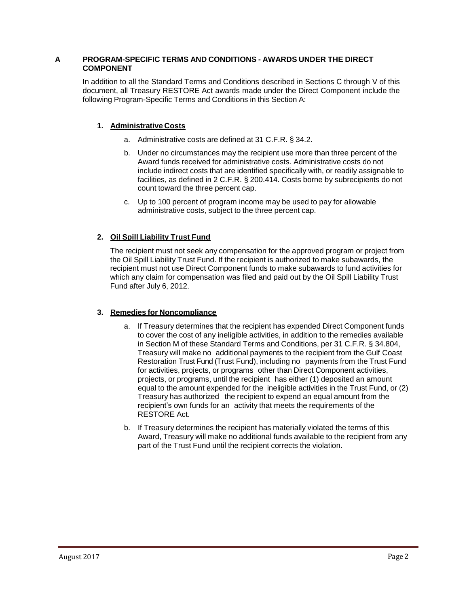#### <span id="page-3-0"></span>**A PROGRAM-SPECIFIC TERMS AND CONDITIONS - AWARDS UNDER THE DIRECT COMPONENT**

In addition to all the Standard Terms and Conditions described in Sections C through V of this document, all Treasury RESTORE Act awards made under the Direct Component include the following Program-Specific Terms and Conditions in this Section A:

#### **1. Administrative Costs**

- a. Administrative costs are defined at 31 C.F.R. § 34.2.
- b. Under no circumstances may the recipient use more than three percent of the Award funds received for administrative costs. Administrative costs do not include indirect costs that are identified specifically with, or readily assignable to facilities, as defined in 2 C.F.R. § 200.414. Costs borne by subrecipients do not count toward the three percent cap.
- c. Up to 100 percent of program income may be used to pay for allowable administrative costs, subject to the three percent cap.

#### **2. Oil Spill Liability Trust Fund**

The recipient must not seek any compensation for the approved program or project from the Oil Spill Liability Trust Fund. If the recipient is authorized to make subawards, the recipient must not use Direct Component funds to make subawards to fund activities for which any claim for compensation was filed and paid out by the Oil Spill Liability Trust Fund after July 6, 2012.

#### **3. Remedies for Noncompliance**

- a. If Treasury determines that the recipient has expended Direct Component funds to cover the cost of any ineligible activities, in addition to the remedies available in Section M of these Standard Terms and Conditions, per 31 C.F.R. § 34.804, Treasury will make no additional payments to the recipient from the Gulf Coast Restoration Trust Fund (Trust Fund), including no payments from the Trust Fund for activities, projects, or programs other than Direct Component activities, projects, or programs, until the recipient has either (1) deposited an amount equal to the amount expended for the ineligible activities in the Trust Fund, or (2) Treasury has authorized the recipient to expend an equal amount from the recipient's own funds for an activity that meets the requirements of the RESTORE Act.
- b. If Treasury determines the recipient has materially violated the terms of this Award, Treasury will make no additional funds available to the recipient from any part of the Trust Fund until the recipient corrects the violation.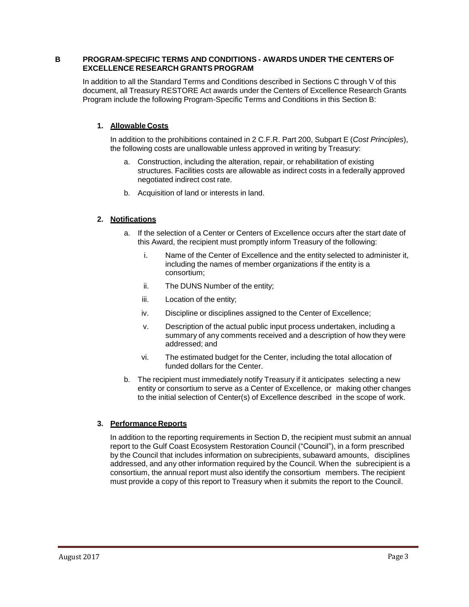#### <span id="page-4-0"></span>**B PROGRAM-SPECIFIC TERMS AND CONDITIONS - AWARDS UNDER THE CENTERS OF EXCELLENCE RESEARCH GRANTS PROGRAM**

In addition to all the Standard Terms and Conditions described in Sections C through V of this document, all Treasury RESTORE Act awards under the Centers of Excellence Research Grants Program include the following Program-Specific Terms and Conditions in this Section B:

#### **1. Allowable Costs**

In addition to the prohibitions contained in 2 C.F.R. Part 200, Subpart E (*Cost Principles*), the following costs are unallowable unless approved in writing by Treasury:

- a. Construction, including the alteration, repair, or rehabilitation of existing structures. Facilities costs are allowable as indirect costs in a federally approved negotiated indirect cost rate.
- b. Acquisition of land or interests in land.

#### **2. Notifications**

- a. If the selection of a Center or Centers of Excellence occurs after the start date of this Award, the recipient must promptly inform Treasury of the following:
	- i. Name of the Center of Excellence and the entity selected to administer it, including the names of member organizations if the entity is a consortium;
	- ii. The DUNS Number of the entity;
	- iii. Location of the entity;
	- iv. Discipline or disciplines assigned to the Center of Excellence;
	- v. Description of the actual public input process undertaken, including a summary of any comments received and a description of how they were addressed; and
	- vi. The estimated budget for the Center, including the total allocation of funded dollars for the Center.
- b. The recipient must immediately notify Treasury if it anticipates selecting a new entity or consortium to serve as a Center of Excellence, or making other changes to the initial selection of Center(s) of Excellence described in the scope of work.

#### **3. Performance Reports**

In addition to the reporting requirements in Section D, the recipient must submit an annual report to the Gulf Coast Ecosystem Restoration Council ("Council"), in a form prescribed by the Council that includes information on subrecipients, subaward amounts, disciplines addressed, and any other information required by the Council. When the subrecipient is a consortium, the annual report must also identify the consortium members. The recipient must provide a copy of this report to Treasury when it submits the report to the Council.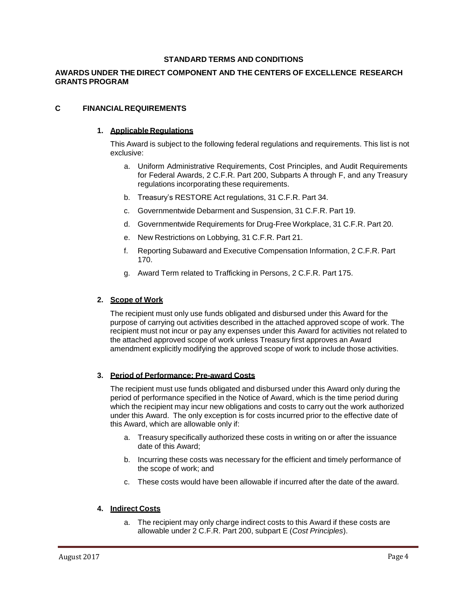#### **STANDARD TERMS AND CONDITIONS**

#### **AWARDS UNDER THE DIRECT COMPONENT AND THE CENTERS OF EXCELLENCE RESEARCH GRANTS PROGRAM**

#### <span id="page-5-0"></span>**C FINANCIAL REQUIREMENTS**

#### **1. Applicable Regulations**

This Award is subject to the following federal regulations and requirements. This list is not exclusive:

- a. Uniform Administrative Requirements, Cost Principles, and Audit Requirements for Federal Awards, 2 C.F.R. Part 200, Subparts A through F, and any Treasury regulations incorporating these requirements.
- b. Treasury's RESTORE Act regulations, 31 C.F.R. Part 34.
- c. Governmentwide Debarment and Suspension, 31 C.F.R. Part 19.
- d. Governmentwide Requirements for Drug-Free Workplace, 31 C.F.R. Part 20.
- e. New Restrictions on Lobbying, 31 C.F.R. Part 21.
- f. Reporting Subaward and Executive Compensation Information, 2 C.F.R. Part 170.
- g. Award Term related to Trafficking in Persons, 2 C.F.R. Part 175.

#### **2. Scope of Work**

The recipient must only use funds obligated and disbursed under this Award for the purpose of carrying out activities described in the attached approved scope of work. The recipient must not incur or pay any expenses under this Award for activities not related to the attached approved scope of work unless Treasury first approves an Award amendment explicitly modifying the approved scope of work to include those activities.

#### **3. Period of Performance; Pre-award Costs**

The recipient must use funds obligated and disbursed under this Award only during the period of performance specified in the Notice of Award, which is the time period during which the recipient may incur new obligations and costs to carry out the work authorized under this Award. The only exception is for costs incurred prior to the effective date of this Award, which are allowable only if:

- a. Treasury specifically authorized these costs in writing on or after the issuance date of this Award;
- b. Incurring these costs was necessary for the efficient and timely performance of the scope of work; and
- c. These costs would have been allowable if incurred after the date of the award.

#### **4. Indirect Costs**

a. The recipient may only charge indirect costs to this Award if these costs are allowable under 2 C.F.R. Part 200, subpart E (*Cost Principles*).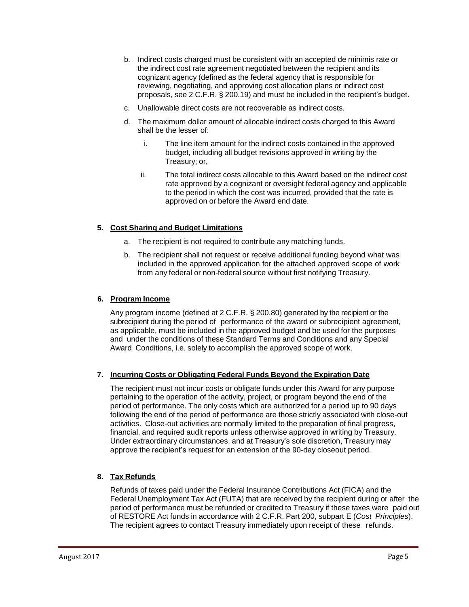- b. Indirect costs charged must be consistent with an accepted de minimis rate or the indirect cost rate agreement negotiated between the recipient and its cognizant agency (defined as the federal agency that is responsible for reviewing, negotiating, and approving cost allocation plans or indirect cost proposals, see 2 C.F.R. § 200.19) and must be included in the recipient's budget.
- c. Unallowable direct costs are not recoverable as indirect costs.
- d. The maximum dollar amount of allocable indirect costs charged to this Award shall be the lesser of:
	- i. The line item amount for the indirect costs contained in the approved budget, including all budget revisions approved in writing by the Treasury; or,
	- ii. The total indirect costs allocable to this Award based on the indirect cost rate approved by a cognizant or oversight federal agency and applicable to the period in which the cost was incurred, provided that the rate is approved on or before the Award end date.

#### **5. Cost Sharing and Budget Limitations**

- a. The recipient is not required to contribute any matching funds.
- b. The recipient shall not request or receive additional funding beyond what was included in the approved application for the attached approved scope of work from any federal or non-federal source without first notifying Treasury.

#### **6. Program Income**

Any program income (defined at 2 C.F.R. § 200.80) generated by the recipient or the subrecipient during the period of performance of the award or subrecipient agreement, as applicable, must be included in the approved budget and be used for the purposes and under the conditions of these Standard Terms and Conditions and any Special Award Conditions, i.e. solely to accomplish the approved scope of work.

#### **7. Incurring Costs or Obligating Federal Funds Beyond the Expiration Date**

The recipient must not incur costs or obligate funds under this Award for any purpose pertaining to the operation of the activity, project, or program beyond the end of the period of performance. The only costs which are authorized for a period up to 90 days following the end of the period of performance are those strictly associated with close-out activities. Close-out activities are normally limited to the preparation of final progress, financial, and required audit reports unless otherwise approved in writing by Treasury. Under extraordinary circumstances, and at Treasury's sole discretion, Treasury may approve the recipient's request for an extension of the 90-day closeout period.

#### **8. Tax Refunds**

Refunds of taxes paid under the Federal Insurance Contributions Act (FICA) and the Federal Unemployment Tax Act (FUTA) that are received by the recipient during or after the period of performance must be refunded or credited to Treasury if these taxes were paid out of RESTORE Act funds in accordance with 2 C.F.R. Part 200, subpart E (*Cost Principles*). The recipient agrees to contact Treasury immediately upon receipt of these refunds.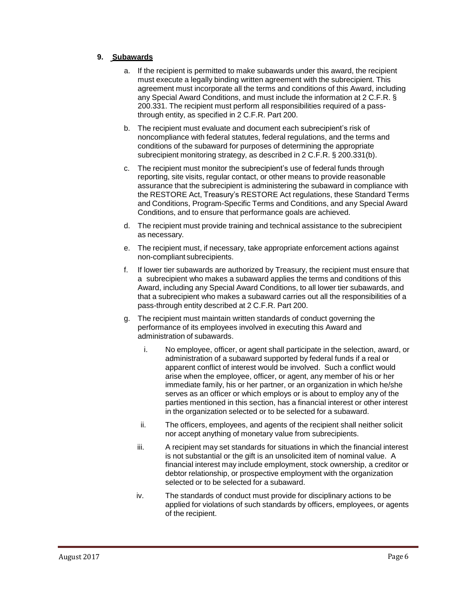#### **9. Subawards**

- a. If the recipient is permitted to make subawards under this award, the recipient must execute a legally binding written agreement with the subrecipient. This agreement must incorporate all the terms and conditions of this Award, including any Special Award Conditions, and must include the information at 2 C.F.R. § 200.331. The recipient must perform all responsibilities required of a passthrough entity, as specified in 2 C.F.R. Part 200.
- b. The recipient must evaluate and document each subrecipient's risk of noncompliance with federal statutes, federal regulations, and the terms and conditions of the subaward for purposes of determining the appropriate subrecipient monitoring strategy, as described in 2 C.F.R. § 200.331(b).
- c. The recipient must monitor the subrecipient's use of federal funds through reporting, site visits, regular contact, or other means to provide reasonable assurance that the subrecipient is administering the subaward in compliance with the RESTORE Act, Treasury's RESTORE Act regulations, these Standard Terms and Conditions, Program-Specific Terms and Conditions, and any Special Award Conditions, and to ensure that performance goals are achieved.
- d. The recipient must provide training and technical assistance to the subrecipient as necessary.
- e. The recipient must, if necessary, take appropriate enforcement actions against non-compliant subrecipients.
- f. If lower tier subawards are authorized by Treasury, the recipient must ensure that a subrecipient who makes a subaward applies the terms and conditions of this Award, including any Special Award Conditions, to all lower tier subawards, and that a subrecipient who makes a subaward carries out all the responsibilities of a pass-through entity described at 2 C.F.R. Part 200.
- g. The recipient must maintain written standards of conduct governing the performance of its employees involved in executing this Award and administration of subawards.
	- i. No employee, officer, or agent shall participate in the selection, award, or administration of a subaward supported by federal funds if a real or apparent conflict of interest would be involved. Such a conflict would arise when the employee, officer, or agent, any member of his or her immediate family, his or her partner, or an organization in which he/she serves as an officer or which employs or is about to employ any of the parties mentioned in this section, has a financial interest or other interest in the organization selected or to be selected for a subaward.
	- ii. The officers, employees, and agents of the recipient shall neither solicit nor accept anything of monetary value from subrecipients.
	- iii. A recipient may set standards for situations in which the financial interest is not substantial or the gift is an unsolicited item of nominal value. A financial interest may include employment, stock ownership, a creditor or debtor relationship, or prospective employment with the organization selected or to be selected for a subaward.
	- iv. The standards of conduct must provide for disciplinary actions to be applied for violations of such standards by officers, employees, or agents of the recipient.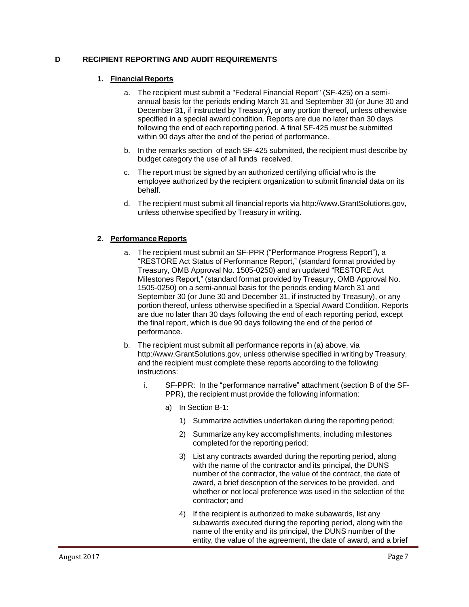#### <span id="page-8-0"></span>**D RECIPIENT REPORTING AND AUDIT REQUIREMENTS**

#### **1. Financial Reports**

- a. The recipient must submit a "Federal Financial Report" (SF-425) on a semiannual basis for the periods ending March 31 and September 30 (or June 30 and December 31, if instructed by Treasury), or any portion thereof, unless otherwise specified in a special award condition. Reports are due no later than 30 days following the end of each reporting period. A final SF-425 must be submitted within 90 days after the end of the period of performance.
- b. In the remarks section of each SF-425 submitted, the recipient must describe by budget category the use of all funds received.
- c. The report must be signed by an authorized certifying official who is the employee authorized by the recipient organization to submit financial data on its behalf.
- d. The recipient must submit all financial reports via [http://www.GrantSolutions.gov,](http://www.grantsolutions.gov/) unless otherwise specified by Treasury in writing.

#### **2. Performance Reports**

- a. The recipient must submit an SF-PPR ("Performance Progress Report"), a "RESTORE Act Status of Performance Report," (standard format provided by Treasury, OMB Approval No. 1505-0250) and an updated "RESTORE Act Milestones Report," (standard format provided by Treasury, OMB Approval No. 1505-0250) on a semi-annual basis for the periods ending March 31 and September 30 (or June 30 and December 31, if instructed by Treasury), or any portion thereof, unless otherwise specified in a Special Award Condition. Reports are due no later than 30 days following the end of each reporting period, except the final report, which is due 90 days following the end of the period of performance.
- b. The recipient must submit all performance reports in (a) above, via [http://www.GrantSolutions.gov,](http://www.grantsolutions.gov/) unless otherwise specified in writing by Treasury, and the recipient must complete these reports according to the following instructions:
	- i. SF-PPR: In the "performance narrative" attachment (section B of the SF-PPR), the recipient must provide the following information:
		- a) In Section B-1:
			- 1) Summarize activities undertaken during the reporting period;
			- 2) Summarize any key accomplishments, including milestones completed for the reporting period;
			- 3) List any contracts awarded during the reporting period, along with the name of the contractor and its principal, the DUNS number of the contractor, the value of the contract, the date of award, a brief description of the services to be provided, and whether or not local preference was used in the selection of the contractor; and
			- 4) If the recipient is authorized to make subawards, list any subawards executed during the reporting period, along with the name of the entity and its principal, the DUNS number of the entity, the value of the agreement, the date of award, and a brief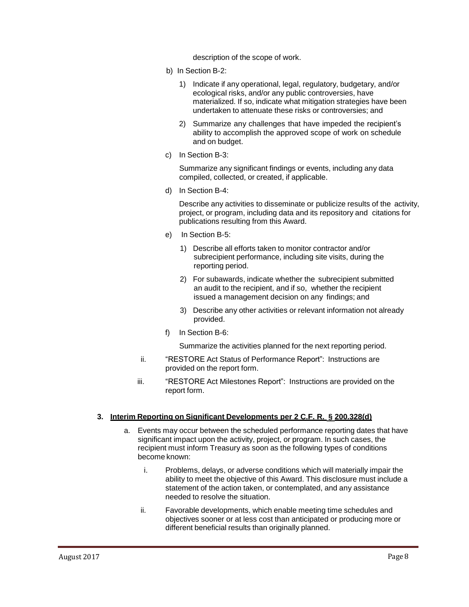description of the scope of work.

- b) In Section B-2:
	- 1) Indicate if any operational, legal, regulatory, budgetary, and/or ecological risks, and/or any public controversies, have materialized. If so, indicate what mitigation strategies have been undertaken to attenuate these risks or controversies; and
	- 2) Summarize any challenges that have impeded the recipient's ability to accomplish the approved scope of work on schedule and on budget.
- c) In Section B-3:

Summarize any significant findings or events, including any data compiled, collected, or created, if applicable.

d) In Section B-4:

Describe any activities to disseminate or publicize results of the activity, project, or program, including data and its repository and citations for publications resulting from this Award.

- e) In Section B-5:
	- 1) Describe all efforts taken to monitor contractor and/or subrecipient performance, including site visits, during the reporting period.
	- 2) For subawards, indicate whether the subrecipient submitted an audit to the recipient, and if so, whether the recipient issued a management decision on any findings; and
	- 3) Describe any other activities or relevant information not already provided.
- f) In Section B-6:

Summarize the activities planned for the next reporting period.

- ii. "RESTORE Act Status of Performance Report": Instructions are provided on the report form.
- iii. "RESTORE Act Milestones Report": Instructions are provided on the report form.

#### **3. Interim Reporting on Significant Developments per 2 C.F. R. § 200.328(d)**

- a. Events may occur between the scheduled performance reporting dates that have significant impact upon the activity, project, or program. In such cases, the recipient must inform Treasury as soon as the following types of conditions become known:
	- i. Problems, delays, or adverse conditions which will materially impair the ability to meet the objective of this Award. This disclosure must include a statement of the action taken, or contemplated, and any assistance needed to resolve the situation.
	- ii. Favorable developments, which enable meeting time schedules and objectives sooner or at less cost than anticipated or producing more or different beneficial results than originally planned.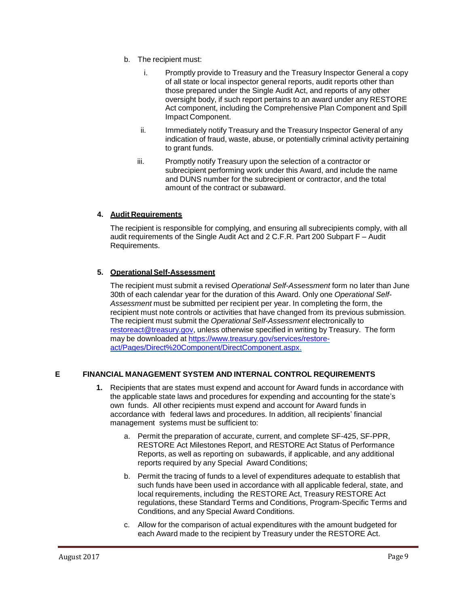- b. The recipient must:
	- i. Promptly provide to Treasury and the Treasury Inspector General a copy of all state or local inspector general reports, audit reports other than those prepared under the Single Audit Act, and reports of any other oversight body, if such report pertains to an award under any RESTORE Act component, including the Comprehensive Plan Component and Spill Impact Component.
	- ii. Immediately notify Treasury and the Treasury Inspector General of any indication of fraud, waste, abuse, or potentially criminal activity pertaining to grant funds.
	- iii. Promptly notify Treasury upon the selection of a contractor or subrecipient performing work under this Award, and include the name and DUNS number for the subrecipient or contractor, and the total amount of the contract or subaward.

#### **4. Audit Requirements**

The recipient is responsible for complying, and ensuring all subrecipients comply, with all audit requirements of the Single Audit Act and 2 C.F.R. Part 200 Subpart F – Audit Requirements.

#### **5. OperationalSelf-Assessment**

The recipient must submit a revised *Operational Self-Assessment* form no later than June 30th of each calendar year for the duration of this Award. Only one *Operational Self-Assessment* must be submitted per recipient per year. In completing the form, the recipient must note controls or activities that have changed from its previous submission. The recipient must submit the *Operational Self-Assessment* electronically to [restoreact@treasury.gov,](mailto:restoreact@treasury.gov) unless otherwise specified in writing by Treasury. The form may be downloaded at [https://www.treasury.gov/services/restore](https://www.treasury.gov/services/restore-act/Pages/Direct%20Component/DirectComponent.aspx)[act/Pages/Direct%20Component/DirectComponent.aspx.](https://www.treasury.gov/services/restore-act/Pages/Direct%20Component/DirectComponent.aspx)

#### <span id="page-10-0"></span>**E FINANCIAL MANAGEMENT SYSTEM AND INTERNAL CONTROL REQUIREMENTS**

- **1.** Recipients that are states must expend and account for Award funds in accordance with the applicable state laws and procedures for expending and accounting for the state's own funds. All other recipients must expend and account for Award funds in accordance with federal laws and procedures. In addition, all recipients' financial management systems must be sufficient to:
	- a. Permit the preparation of accurate, current, and complete SF-425, SF-PPR, RESTORE Act Milestones Report, and RESTORE Act Status of Performance Reports, as well as reporting on subawards, if applicable, and any additional reports required by any Special Award Conditions;
	- b. Permit the tracing of funds to a level of expenditures adequate to establish that such funds have been used in accordance with all applicable federal, state, and local requirements, including the RESTORE Act, Treasury RESTORE Act regulations, these Standard Terms and Conditions, Program-Specific Terms and Conditions, and any Special Award Conditions.
	- c. Allow for the comparison of actual expenditures with the amount budgeted for each Award made to the recipient by Treasury under the RESTORE Act.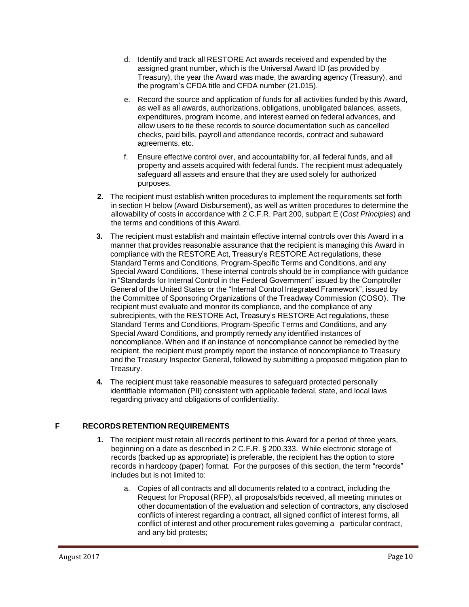- d. Identify and track all RESTORE Act awards received and expended by the assigned grant number, which is the Universal Award ID (as provided by Treasury), the year the Award was made, the awarding agency (Treasury), and the program's CFDA title and CFDA number (21.015).
- e. Record the source and application of funds for all activities funded by this Award, as well as all awards, authorizations, obligations, unobligated balances, assets, expenditures, program income, and interest earned on federal advances, and allow users to tie these records to source documentation such as cancelled checks, paid bills, payroll and attendance records, contract and subaward agreements, etc.
- f. Ensure effective control over, and accountability for, all federal funds, and all property and assets acquired with federal funds. The recipient must adequately safeguard all assets and ensure that they are used solely for authorized purposes.
- **2.** The recipient must establish written procedures to implement the requirements set forth in section H below (Award Disbursement), as well as written procedures to determine the allowability of costs in accordance with 2 C.F.R. Part 200, subpart E (*Cost Principles*) and the terms and conditions of this Award.
- **3.** The recipient must establish and maintain effective internal controls over this Award in a manner that provides reasonable assurance that the recipient is managing this Award in compliance with the RESTORE Act, Treasury's RESTORE Act regulations, these Standard Terms and Conditions, Program-Specific Terms and Conditions, and any Special Award Conditions. These internal controls should be in compliance with guidance in "Standards for Internal Control in the Federal Government" issued by the Comptroller General of the United States or the "Internal Control Integrated Framework", issued by the Committee of Sponsoring Organizations of the Treadway Commission (COSO). The recipient must evaluate and monitor its compliance, and the compliance of any subrecipients, with the RESTORE Act, Treasury's RESTORE Act regulations, these Standard Terms and Conditions, Program-Specific Terms and Conditions, and any Special Award Conditions, and promptly remedy any identified instances of noncompliance. When and if an instance of noncompliance cannot be remedied by the recipient, the recipient must promptly report the instance of noncompliance to Treasury and the Treasury Inspector General, followed by submitting a proposed mitigation plan to Treasury.
- **4.** The recipient must take reasonable measures to safeguard protected personally identifiable information (PII) consistent with applicable federal, state, and local laws regarding privacy and obligations of confidentiality.

#### <span id="page-11-0"></span>**F RECORDS RETENTION REQUIREMENTS**

- **1.** The recipient must retain all records pertinent to this Award for a period of three years, beginning on a date as described in 2 C.F.R. § 200.333. While electronic storage of records (backed up as appropriate) is preferable, the recipient has the option to store records in hardcopy (paper) format. For the purposes of this section, the term "records" includes but is not limited to:
	- a. Copies of all contracts and all documents related to a contract, including the Request for Proposal (RFP), all proposals/bids received, all meeting minutes or other documentation of the evaluation and selection of contractors, any disclosed conflicts of interest regarding a contract, all signed conflict of interest forms, all conflict of interest and other procurement rules governing a particular contract, and any bid protests;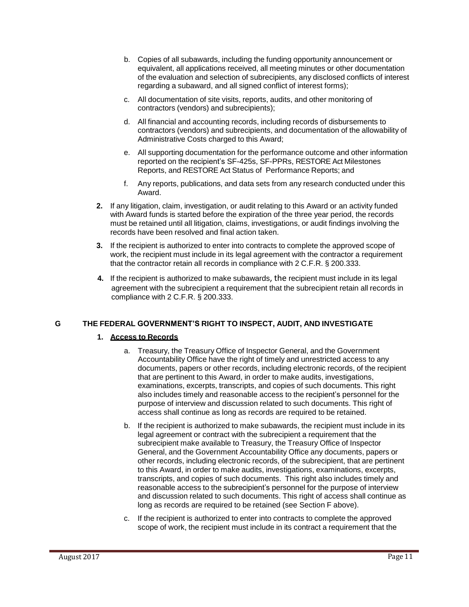- b. Copies of all subawards, including the funding opportunity announcement or equivalent, all applications received, all meeting minutes or other documentation of the evaluation and selection of subrecipients, any disclosed conflicts of interest regarding a subaward, and all signed conflict of interest forms);
- c. All documentation of site visits, reports, audits, and other monitoring of contractors (vendors) and subrecipients);
- d. All financial and accounting records, including records of disbursements to contractors (vendors) and subrecipients, and documentation of the allowability of Administrative Costs charged to this Award;
- e. All supporting documentation for the performance outcome and other information reported on the recipient's SF-425s, SF-PPRs, RESTORE Act Milestones Reports, and RESTORE Act Status of Performance Reports; and
- f. Any reports, publications, and data sets from any research conducted under this Award.
- **2.** If any litigation, claim, investigation, or audit relating to this Award or an activity funded with Award funds is started before the expiration of the three year period, the records must be retained until all litigation, claims, investigations, or audit findings involving the records have been resolved and final action taken.
- **3.** If the recipient is authorized to enter into contracts to complete the approved scope of work, the recipient must include in its legal agreement with the contractor a requirement that the contractor retain all records in compliance with 2 C.F.R. § 200.333.
- **4.** If the recipient is authorized to make subawards, the recipient must include in its legal agreement with the subrecipient a requirement that the subrecipient retain all records in compliance with 2 C.F.R. § 200.333.

#### <span id="page-12-0"></span>**G THE FEDERAL GOVERNMENT'S RIGHT TO INSPECT, AUDIT, AND INVESTIGATE**

#### **1. Access to Records**

- a. Treasury, the Treasury Office of Inspector General, and the Government Accountability Office have the right of timely and unrestricted access to any documents, papers or other records, including electronic records, of the recipient that are pertinent to this Award, in order to make audits, investigations, examinations, excerpts, transcripts, and copies of such documents. This right also includes timely and reasonable access to the recipient's personnel for the purpose of interview and discussion related to such documents. This right of access shall continue as long as records are required to be retained.
- b. If the recipient is authorized to make subawards, the recipient must include in its legal agreement or contract with the subrecipient a requirement that the subrecipient make available to Treasury, the Treasury Office of Inspector General, and the Government Accountability Office any documents, papers or other records, including electronic records, of the subrecipient, that are pertinent to this Award, in order to make audits, investigations, examinations, excerpts, transcripts, and copies of such documents. This right also includes timely and reasonable access to the subrecipient's personnel for the purpose of interview and discussion related to such documents. This right of access shall continue as long as records are required to be retained (see Section F above).
- c. If the recipient is authorized to enter into contracts to complete the approved scope of work, the recipient must include in its contract a requirement that the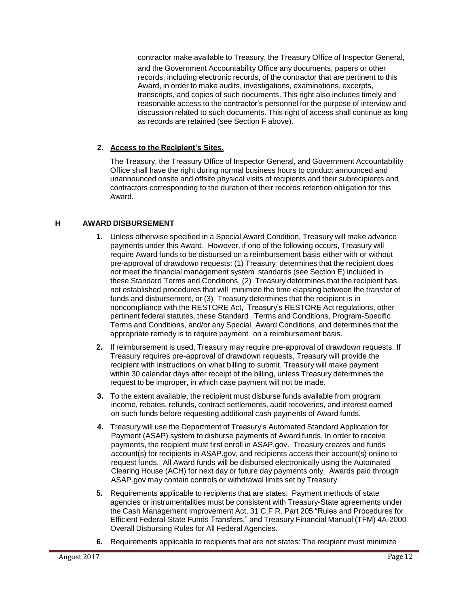contractor make available to Treasury, the Treasury Office of Inspector General,

and the Government Accountability Office any documents, papers or other records, including electronic records, of the contractor that are pertinent to this Award, in order to make audits, investigations, examinations, excerpts, transcripts, and copies of such documents. This right also includes timely and reasonable access to the contractor's personnel for the purpose of interview and discussion related to such documents. This right of access shall continue as long as records are retained (see Section F above).

#### **2. Access to the Recipient's Sites.**

The Treasury, the Treasury Office of Inspector General, and Government Accountability Office shall have the right during normal business hours to conduct announced and unannounced onsite and offsite physical visits of recipients and their subrecipients and contractors corresponding to the duration of their records retention obligation for this Award.

#### <span id="page-13-0"></span>**H AWARD DISBURSEMENT**

- **1.** Unless otherwise specified in a Special Award Condition, Treasury will make advance payments under this Award. However, if one of the following occurs, Treasury will require Award funds to be disbursed on a reimbursement basis either with or without pre-approval of drawdown requests: (1) Treasury determines that the recipient does not meet the financial management system standards (see Section E) included in these Standard Terms and Conditions, (2) Treasury determines that the recipient has not established procedures that will minimize the time elapsing between the transfer of funds and disbursement, or (3) Treasury determines that the recipient is in noncompliance with the RESTORE Act, Treasury's RESTORE Act regulations, other pertinent federal statutes, these Standard Terms and Conditions, Program-Specific Terms and Conditions, and/or any Special Award Conditions, and determines that the appropriate remedy is to require payment on a reimbursement basis.
- **2.** If reimbursement is used, Treasury may require pre-approval of drawdown requests. If Treasury requires pre-approval of drawdown requests, Treasury will provide the recipient with instructions on what billing to submit. Treasury will make payment within 30 calendar days after receipt of the billing, unless Treasury determines the request to be improper, in which case payment will not be made.
- **3.** To the extent available, the recipient must disburse funds available from program income, rebates, refunds, contract settlements, audit recoveries, and interest earned on such funds before requesting additional cash payments of Award funds.
- **4.** Treasury will use the Department of Treasury's Automated Standard Application for Payment (ASAP) system to disburse payments of Award funds. In order to receive payments, the recipient must first enroll in ASAP.gov. Treasury creates and funds account(s) for recipients in ASAP.gov, and recipients access their account(s) online to request funds. All Award funds will be disbursed electronically using the Automated Clearing House (ACH) for next day or future day payments only. Awards paid through ASAP.gov may contain controls or withdrawal limits set by Treasury.
- **5.** Requirements applicable to recipients that are states: Payment methods of state agencies or instrumentalities must be consistent with Treasury-State agreements under the Cash Management Improvement Act, 31 C.F.R. Part 205 "Rules and Procedures for Efficient Federal-State Funds Transfers," and Treasury Financial Manual (TFM) 4A-2000 Overall Disbursing Rules for All Federal Agencies.
- **6.** Requirements applicable to recipients that are not states: The recipient must minimize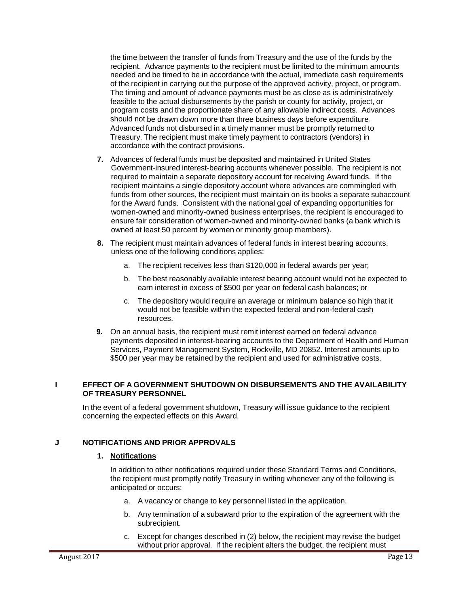the time between the transfer of funds from Treasury and the use of the funds by the recipient. Advance payments to the recipient must be limited to the minimum amounts needed and be timed to be in accordance with the actual, immediate cash requirements of the recipient in carrying out the purpose of the approved activity, project, or program. The timing and amount of advance payments must be as close as is administratively feasible to the actual disbursements by the parish or county for activity, project, or program costs and the proportionate share of any allowable indirect costs. Advances should not be drawn down more than three business days before expenditure. Advanced funds not disbursed in a timely manner must be promptly returned to Treasury. The recipient must make timely payment to contractors (vendors) in accordance with the contract provisions.

- **7.** Advances of federal funds must be deposited and maintained in United States Government-insured interest-bearing accounts whenever possible. The recipient is not required to maintain a separate depository account for receiving Award funds. If the recipient maintains a single depository account where advances are commingled with funds from other sources, the recipient must maintain on its books a separate subaccount for the Award funds. Consistent with the national goal of expanding opportunities for women-owned and minority-owned business enterprises, the recipient is encouraged to ensure fair consideration of women-owned and minority-owned banks (a bank which is owned at least 50 percent by women or minority group members).
- **8.** The recipient must maintain advances of federal funds in interest bearing accounts, unless one of the following conditions applies:
	- a. The recipient receives less than \$120,000 in federal awards per year;
	- b. The best reasonably available interest bearing account would not be expected to earn interest in excess of \$500 per year on federal cash balances; or
	- c. The depository would require an average or minimum balance so high that it would not be feasible within the expected federal and non-federal cash resources.
- **9.** On an annual basis, the recipient must remit interest earned on federal advance payments deposited in interest-bearing accounts to the Department of Health and Human Services, Payment Management System, Rockville, MD 20852. Interest amounts up to \$500 per year may be retained by the recipient and used for administrative costs.

#### <span id="page-14-0"></span>**I EFFECT OF A GOVERNMENT SHUTDOWN ON DISBURSEMENTS AND THE AVAILABILITY OF TREASURY PERSONNEL**

In the event of a federal government shutdown, Treasury will issue guidance to the recipient concerning the expected effects on this Award.

#### <span id="page-14-1"></span>**J NOTIFICATIONS AND PRIOR APPROVALS**

#### **1. Notifications**

In addition to other notifications required under these Standard Terms and Conditions, the recipient must promptly notify Treasury in writing whenever any of the following is anticipated or occurs:

- a. A vacancy or change to key personnel listed in the application.
- b. Any termination of a subaward prior to the expiration of the agreement with the subrecipient.
- c. Except for changes described in (2) below, the recipient may revise the budget without prior approval. If the recipient alters the budget, the recipient must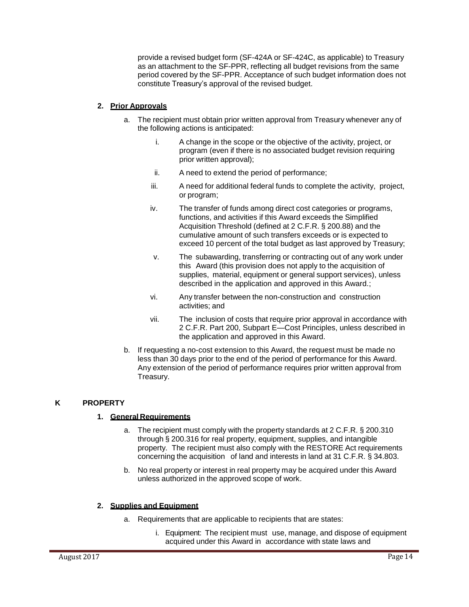provide a revised budget form (SF-424A or SF-424C, as applicable) to Treasury as an attachment to the SF-PPR, reflecting all budget revisions from the same period covered by the SF-PPR. Acceptance of such budget information does not constitute Treasury's approval of the revised budget.

#### **2. Prior Approvals**

- a. The recipient must obtain prior written approval from Treasury whenever any of the following actions is anticipated:
	- i. A change in the scope or the objective of the activity, project, or program (even if there is no associated budget revision requiring prior written approval);
	- ii. A need to extend the period of performance;
	- iii. A need for additional federal funds to complete the activity, project, or program;
	- iv. The transfer of funds among direct cost categories or programs, functions, and activities if this Award exceeds the Simplified Acquisition Threshold (defined at 2 C.F.R. § 200.88) and the cumulative amount of such transfers exceeds or is expected to exceed 10 percent of the total budget as last approved by Treasury;
	- v. The subawarding, transferring or contracting out of any work under this Award (this provision does not apply to the acquisition of supplies, material, equipment or general support services), unless described in the application and approved in this Award.;
	- vi. Any transfer between the non-construction and construction activities; and
	- vii. The inclusion of costs that require prior approval in accordance with 2 C.F.R. Part 200, Subpart E—Cost Principles, unless described in the application and approved in this Award.
- b. If requesting a no-cost extension to this Award, the request must be made no less than 30 days prior to the end of the period of performance for this Award. Any extension of the period of performance requires prior written approval from Treasury.

#### <span id="page-15-0"></span>**K PROPERTY**

#### **1. General Requirements**

- a. The recipient must comply with the property standards at 2 C.F.R. § 200.310 through § 200.316 for real property, equipment, supplies, and intangible property. The recipient must also comply with the RESTORE Act requirements concerning the acquisition of land and interests in land at 31 C.F.R. § 34.803.
- b. No real property or interest in real property may be acquired under this Award unless authorized in the approved scope of work.

#### **2. Supplies and Equipment**

- a. Requirements that are applicable to recipients that are states:
	- i. Equipment: The recipient must use, manage, and dispose of equipment acquired under this Award in accordance with state laws and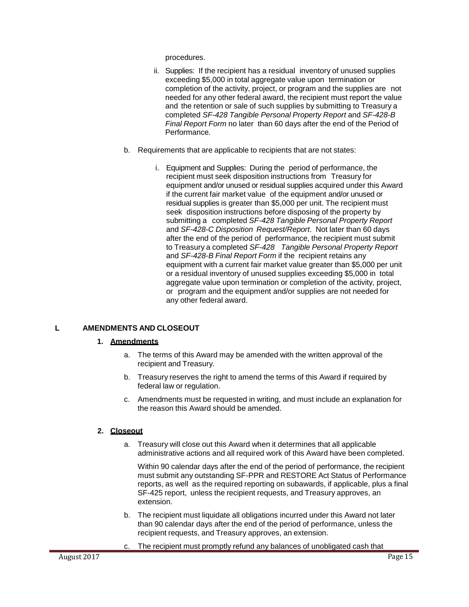procedures.

- ii. Supplies: If the recipient has a residual inventory of unused supplies exceeding \$5,000 in total aggregate value upon termination or completion of the activity, project, or program and the supplies are not needed for any other federal award, the recipient must report the value and the retention or sale of such supplies by submitting to Treasury a completed *SF-428 Tangible Personal Property Report* and *SF-428-B Final Report Form* no later than 60 days after the end of the Period of Performance*.*
- b. Requirements that are applicable to recipients that are not states:
	- i. Equipment and Supplies: During the period of performance, the recipient must seek disposition instructions from Treasury for equipment and/or unused or residual supplies acquired under this Award if the current fair market value of the equipment and/or unused or residual supplies is greater than \$5,000 per unit. The recipient must seek disposition instructions before disposing of the property by submitting a completed *SF-428 Tangible Personal Property Report* and *SF-428-C Disposition Request/Report*. Not later than 60 days after the end of the period of performance, the recipient must submit to Treasury a completed *SF-428 Tangible Personal Property Report* and *SF-428-B Final Report Form* if the recipient retains any equipment with a current fair market value greater than \$5,000 per unit or a residual inventory of unused supplies exceeding \$5,000 in total aggregate value upon termination or completion of the activity, project, or program and the equipment and/or supplies are not needed for any other federal award.

#### <span id="page-16-0"></span>**L AMENDMENTS AND CLOSEOUT**

#### **1. Amendments**

- a. The terms of this Award may be amended with the written approval of the recipient and Treasury.
- b. Treasury reserves the right to amend the terms of this Award if required by federal law or regulation.
- c. Amendments must be requested in writing, and must include an explanation for the reason this Award should be amended.

#### **2. Closeout**

a. Treasury will close out this Award when it determines that all applicable administrative actions and all required work of this Award have been completed.

Within 90 calendar days after the end of the period of performance, the recipient must submit any outstanding SF-PPR and RESTORE Act Status of Performance reports, as well as the required reporting on subawards, if applicable, plus a final SF-425 report, unless the recipient requests, and Treasury approves, an extension.

- b. The recipient must liquidate all obligations incurred under this Award not later than 90 calendar days after the end of the period of performance, unless the recipient requests, and Treasury approves, an extension.
- c. The recipient must promptly refund any balances of unobligated cash that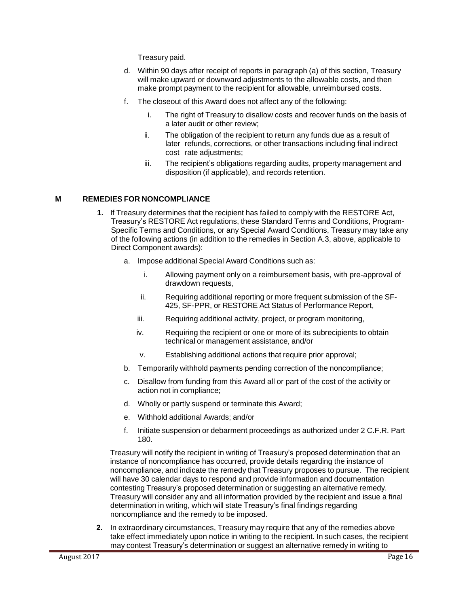Treasury paid.

- d. Within 90 days after receipt of reports in paragraph (a) of this section, Treasury will make upward or downward adjustments to the allowable costs, and then make prompt payment to the recipient for allowable, unreimbursed costs.
- f. The closeout of this Award does not affect any of the following:
	- i. The right of Treasury to disallow costs and recover funds on the basis of a later audit or other review;
	- ii. The obligation of the recipient to return any funds due as a result of later refunds, corrections, or other transactions including final indirect cost rate adjustments;
	- iii. The recipient's obligations regarding audits, property management and disposition (if applicable), and records retention.

#### <span id="page-17-0"></span>**M REMEDIES FOR NONCOMPLIANCE**

- **1.** If Treasury determines that the recipient has failed to comply with the RESTORE Act, Treasury's RESTORE Act regulations, these Standard Terms and Conditions, Program-Specific Terms and Conditions, or any Special Award Conditions, Treasury may take any of the following actions (in addition to the remedies in Section A.3, above, applicable to Direct Component awards):
	- a. Impose additional Special Award Conditions such as:
		- i. Allowing payment only on a reimbursement basis, with pre-approval of drawdown requests,
		- ii. Requiring additional reporting or more frequent submission of the SF-425, SF-PPR, or RESTORE Act Status of Performance Report,
		- iii. Requiring additional activity, project, or program monitoring,
		- iv. Requiring the recipient or one or more of its subrecipients to obtain technical or management assistance, and/or
		- v. Establishing additional actions that require prior approval;
	- b. Temporarily withhold payments pending correction of the noncompliance;
	- c. Disallow from funding from this Award all or part of the cost of the activity or action not in compliance;
	- d. Wholly or partly suspend or terminate this Award;
	- e. Withhold additional Awards; and/or
	- f. Initiate suspension or debarment proceedings as authorized under 2 C.F.R. Part 180.

Treasury will notify the recipient in writing of Treasury's proposed determination that an instance of noncompliance has occurred, provide details regarding the instance of noncompliance, and indicate the remedy that Treasury proposes to pursue. The recipient will have 30 calendar days to respond and provide information and documentation contesting Treasury's proposed determination or suggesting an alternative remedy. Treasury will consider any and all information provided by the recipient and issue a final determination in writing, which will state Treasury's final findings regarding noncompliance and the remedy to be imposed.

**2.** In extraordinary circumstances, Treasury may require that any of the remedies above take effect immediately upon notice in writing to the recipient. In such cases, the recipient may contest Treasury's determination or suggest an alternative remedy in writing to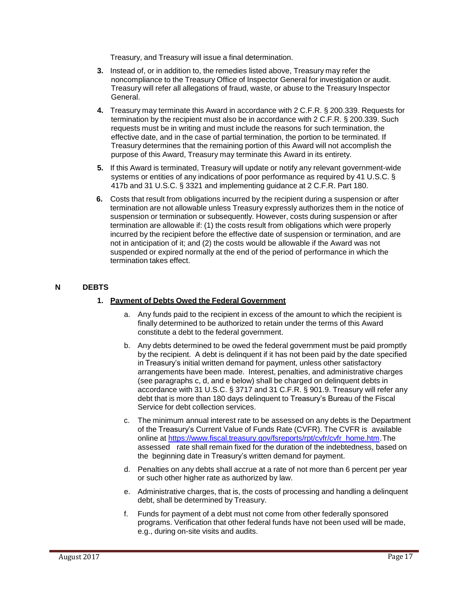Treasury, and Treasury will issue a final determination.

- **3.** Instead of, or in addition to, the remedies listed above, Treasury may refer the noncompliance to the Treasury Office of Inspector General for investigation or audit. Treasury will refer all allegations of fraud, waste, or abuse to the Treasury Inspector General.
- **4.** Treasury may terminate this Award in accordance with 2 C.F.R. § 200.339. Requests for termination by the recipient must also be in accordance with 2 C.F.R. § 200.339. Such requests must be in writing and must include the reasons for such termination, the effective date, and in the case of partial termination, the portion to be terminated. If Treasury determines that the remaining portion of this Award will not accomplish the purpose of this Award, Treasury may terminate this Award in its entirety.
- **5.** If this Award is terminated, Treasury will update or notify any relevant government-wide systems or entities of any indications of poor performance as required by 41 U.S.C. § 417b and 31 U.S.C. § 3321 and implementing guidance at 2 C.F.R. Part 180.
- **6.** Costs that result from obligations incurred by the recipient during a suspension or after termination are not allowable unless Treasury expressly authorizes them in the notice of suspension or termination or subsequently. However, costs during suspension or after termination are allowable if: (1) the costs result from obligations which were properly incurred by the recipient before the effective date of suspension or termination, and are not in anticipation of it; and (2) the costs would be allowable if the Award was not suspended or expired normally at the end of the period of performance in which the termination takes effect.

#### <span id="page-18-0"></span>**N DEBTS**

#### **1. Payment of Debts Owed the Federal Government**

- a. Any funds paid to the recipient in excess of the amount to which the recipient is finally determined to be authorized to retain under the terms of this Award constitute a debt to the federal government.
- b. Any debts determined to be owed the federal government must be paid promptly by the recipient. A debt is delinquent if it has not been paid by the date specified in Treasury's initial written demand for payment, unless other satisfactory arrangements have been made. Interest, penalties, and administrative charges (see paragraphs c, d, and e below) shall be charged on delinquent debts in accordance with 31 U.S.C. § 3717 and 31 C.F.R. § 901.9. Treasury will refer any debt that is more than 180 days delinquent to Treasury's Bureau of the Fiscal Service for debt collection services.
- c. The minimum annual interest rate to be assessed on any debts is the Department of the Treasury's Current Value of Funds Rate (CVFR). The CVFR is available online at [https://www.fiscal.treasury.gov/fsreports/rpt/cvfr/cvfr\\_home.htm.T](https://www.fiscal.treasury.gov/fsreports/rpt/cvfr/cvfr_home.htm)he assessed rate shall remain fixed for the duration of the indebtedness, based on the beginning date in Treasury's written demand for payment.
- d. Penalties on any debts shall accrue at a rate of not more than 6 percent per year or such other higher rate as authorized by law.
- e. Administrative charges, that is, the costs of processing and handling a delinquent debt, shall be determined by Treasury.
- f. Funds for payment of a debt must not come from other federally sponsored programs. Verification that other federal funds have not been used will be made, e.g., during on-site visits and audits.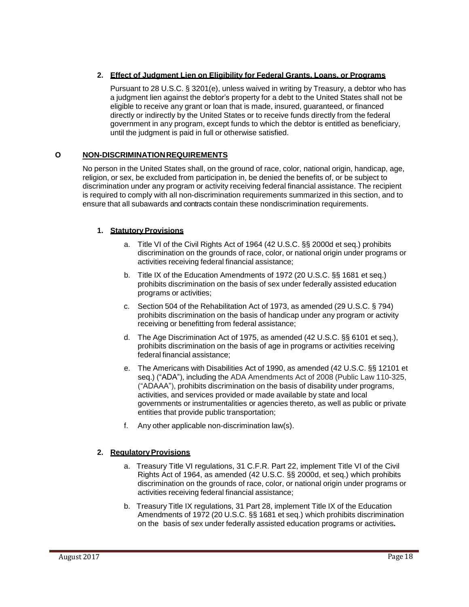#### **2. Effect of Judgment Lien on Eligibility for Federal Grants, Loans, or Programs**

<span id="page-19-0"></span>Pursuant to 28 U.S.C. § 3201(e), unless waived in writing by Treasury, a debtor who has a judgment lien against the debtor's property for a debt to the United States shall not be eligible to receive any grant or loan that is made, insured, guaranteed, or financed directly or indirectly by the United States or to receive funds directly from the federal government in any program, except funds to which the debtor is entitled as beneficiary, until the judgment is paid in full or otherwise satisfied.

#### **O NON-DISCRIMINATIONREQUIREMENTS**

No person in the United States shall, on the ground of race, color, national origin, handicap, age, religion, or sex, be excluded from participation in, be denied the benefits of, or be subject to discrimination under any program or activity receiving federal financial assistance. The recipient is required to comply with all non-discrimination requirements summarized in this section, and to ensure that all subawards and contracts contain these nondiscrimination requirements.

#### **1. Statutory Provisions**

- a. Title VI of the Civil Rights Act of 1964 (42 U.S.C. §§ 2000d et seq.) prohibits discrimination on the grounds of race, color, or national origin under programs or activities receiving federal financial assistance;
- b. Title IX of the Education Amendments of 1972 (20 U.S.C. §§ 1681 et seq.) prohibits discrimination on the basis of sex under federally assisted education programs or activities;
- c. Section 504 of the Rehabilitation Act of 1973, as amended (29 U.S.C. § 794) prohibits discrimination on the basis of handicap under any program or activity receiving or benefitting from federal assistance;
- d. The Age Discrimination Act of 1975, as amended (42 U.S.C. §§ 6101 et seq.), prohibits discrimination on the basis of age in programs or activities receiving federal financial assistance;
- e. The Americans with Disabilities Act of 1990, as amended (42 U.S.C. §§ 12101 et seq.) ("ADA"), including the ADA Amendments Act of 2008 (Public Law 110-325, ("ADAAA"), prohibits discrimination on the basis of disability under programs, activities, and services provided or made available by state and local governments or instrumentalities or agencies thereto, as well as public or private entities that provide public transportation;
- f. Any other applicable non-discrimination law(s).

#### **2. RegulatoryProvisions**

- a. Treasury Title VI regulations, 31 C.F.R. Part 22, implement Title VI of the Civil Rights Act of 1964, as amended (42 U.S.C. §§ 2000d, et seq.) which prohibits discrimination on the grounds of race, color, or national origin under programs or activities receiving federal financial assistance;
- b. Treasury Title IX regulations, 31 Part 28, implement Title IX of the Education Amendments of 1972 (20 U.S.C. §§ 1681 et seq.) which prohibits discrimination on the basis of sex under federally assisted education programs or activities**.**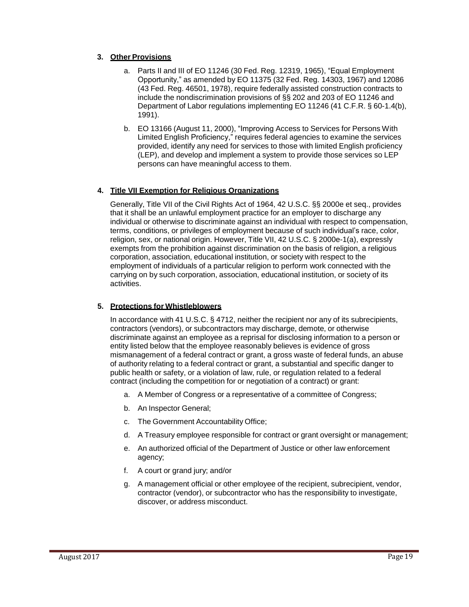#### **3. Other Provisions**

- a. Parts II and III of EO 11246 (30 Fed. Reg. 12319, 1965), "Equal Employment Opportunity," as amended by EO 11375 (32 Fed. Reg. 14303, 1967) and 12086 (43 Fed. Reg. 46501, 1978), require federally assisted construction contracts to include the nondiscrimination provisions of §§ 202 and 203 of EO 11246 and Department of Labor regulations implementing EO 11246 (41 C.F.R. § 60-1.4(b), 1991).
- b. EO 13166 (August 11, 2000), "Improving Access to Services for Persons With Limited English Proficiency," requires federal agencies to examine the services provided, identify any need for services to those with limited English proficiency (LEP), and develop and implement a system to provide those services so LEP persons can have meaningful access to them.

#### **4. Title VII Exemption for Religious Organizations**

Generally, Title VII of the Civil Rights Act of 1964, 42 U.S.C. §§ 2000e et seq., provides that it shall be an unlawful employment practice for an employer to discharge any individual or otherwise to discriminate against an individual with respect to compensation, terms, conditions, or privileges of employment because of such individual's race, color, religion, sex, or national origin. However, Title VII, 42 U.S.C. § 2000e-1(a), expressly exempts from the prohibition against discrimination on the basis of religion, a religious corporation, association, educational institution, or society with respect to the employment of individuals of a particular religion to perform work connected with the carrying on by such corporation, association, educational institution, or society of its activities.

#### **5. Protections for Whistleblowers**

In accordance with 41 U.S.C. § 4712, neither the recipient nor any of its subrecipients, contractors (vendors), or subcontractors may discharge, demote, or otherwise discriminate against an employee as a reprisal for disclosing information to a person or entity listed below that the employee reasonably believes is evidence of gross mismanagement of a federal contract or grant, a gross waste of federal funds, an abuse of authority relating to a federal contract or grant, a substantial and specific danger to public health or safety, or a violation of law, rule, or regulation related to a federal contract (including the competition for or negotiation of a contract) or grant:

- a. A Member of Congress or a representative of a committee of Congress;
- b. An Inspector General;
- c. The Government Accountability Office;
- d. A Treasury employee responsible for contract or grant oversight or management;
- e. An authorized official of the Department of Justice or other law enforcement agency;
- f. A court or grand jury; and/or
- g. A management official or other employee of the recipient, subrecipient, vendor, contractor (vendor), or subcontractor who has the responsibility to investigate, discover, or address misconduct.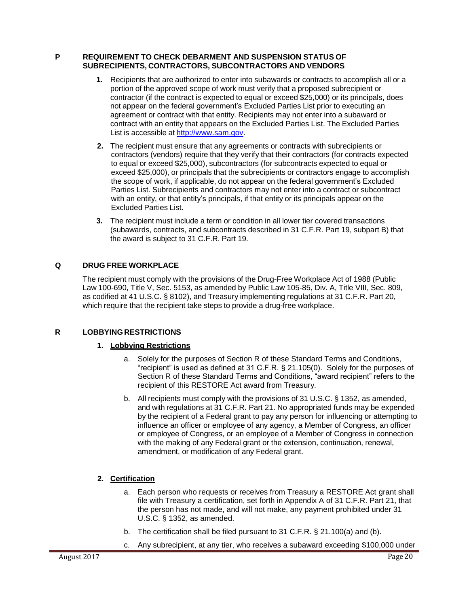#### <span id="page-21-0"></span>**P REQUIREMENT TO CHECK DEBARMENT AND SUSPENSION STATUS OF SUBRECIPIENTS, CONTRACTORS, SUBCONTRACTORS AND VENDORS**

- **1.** Recipients that are authorized to enter into subawards or contracts to accomplish all or a portion of the approved scope of work must verify that a proposed subrecipient or contractor (if the contract is expected to equal or exceed \$25,000) or its principals, does not appear on the federal government's Excluded Parties List prior to executing an agreement or contract with that entity. Recipients may not enter into a subaward or contract with an entity that appears on the Excluded Parties List. The Excluded Parties List is accessible at [http://www.sam.gov.](http://www.sam.gov/)
- **2.** The recipient must ensure that any agreements or contracts with subrecipients or contractors (vendors) require that they verify that their contractors (for contracts expected to equal or exceed \$25,000), subcontractors (for subcontracts expected to equal or exceed \$25,000), or principals that the subrecipients or contractors engage to accomplish the scope of work, if applicable, do not appear on the federal government's Excluded Parties List. Subrecipients and contractors may not enter into a contract or subcontract with an entity, or that entity's principals, if that entity or its principals appear on the Excluded Parties List.
- **3.** The recipient must include a term or condition in all lower tier covered transactions (subawards, contracts, and subcontracts described in 31 C.F.R. Part 19, subpart B) that the award is subject to 31 C.F.R. Part 19.

#### <span id="page-21-1"></span>**Q DRUG FREE WORKPLACE**

The recipient must comply with the provisions of the Drug-Free Workplace Act of 1988 (Public Law 100-690, Title V, Sec. 5153, as amended by Public Law 105-85, Div. A, Title VIII, Sec. 809, as codified at 41 U.S.C. § 8102), and Treasury implementing regulations at 31 C.F.R. Part 20, which require that the recipient take steps to provide a drug-free workplace.

#### <span id="page-21-2"></span>**R LOBBYINGRESTRICTIONS**

#### **1. Lobbying Restrictions**

- a. Solely for the purposes of Section R of these Standard Terms and Conditions, "recipient" is used as defined at 31 C.F.R. § 21.105(0). Solely for the purposes of Section R of these Standard Terms and Conditions, "award recipient" refers to the recipient of this RESTORE Act award from Treasury.
- b. All recipients must comply with the provisions of 31 U.S.C. § 1352, as amended, and with regulations at 31 C.F.R. Part 21. No appropriated funds may be expended by the recipient of a Federal grant to pay any person for influencing or attempting to influence an officer or employee of any agency, a Member of Congress, an officer or employee of Congress, or an employee of a Member of Congress in connection with the making of any Federal grant or the extension, continuation, renewal, amendment, or modification of any Federal grant.

#### **2. Certification**

- a. Each person who requests or receives from Treasury a RESTORE Act grant shall file with Treasury a certification, set forth in Appendix A of 31 C.F.R. Part 21, that the person has not made, and will not make, any payment prohibited under 31 U.S.C. § 1352, as amended.
- b. The certification shall be filed pursuant to 31 C.F.R. § 21.100(a) and (b).
- c. Any subrecipient, at any tier, who receives a subaward exceeding \$100,000 under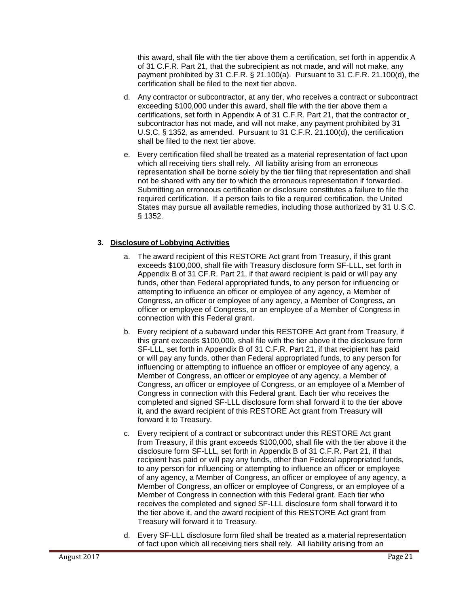this award, shall file with the tier above them a certification, set forth in appendix A of 31 C.F.R. Part 21, that the subrecipient as not made, and will not make, any payment prohibited by 31 C.F.R. § 21.100(a). Pursuant to 31 C.F.R. 21.100(d), the certification shall be filed to the next tier above.

- d. Any contractor or subcontractor, at any tier, who receives a contract or subcontract exceeding \$100,000 under this award, shall file with the tier above them a certifications, set forth in Appendix A of 31 C.F.R. Part 21, that the contractor or subcontractor has not made, and will not make, any payment prohibited by 31 U.S.C. § 1352, as amended. Pursuant to 31 C.F.R. 21.100(d), the certification shall be filed to the next tier above.
- e. Every certification filed shall be treated as a material representation of fact upon which all receiving tiers shall rely. All liability arising from an erroneous representation shall be borne solely by the tier filing that representation and shall not be shared with any tier to which the erroneous representation if forwarded. Submitting an erroneous certification or disclosure constitutes a failure to file the required certification. If a person fails to file a required certification, the United States may pursue all available remedies, including those authorized by 31 U.S.C. § 1352.

#### **3. Disclosure of Lobbying Activities**

- a. The award recipient of this RESTORE Act grant from Treasury, if this grant exceeds \$100,000, shall file with Treasury disclosure form SF-LLL, set forth in Appendix B of 31 CF.R. Part 21, if that award recipient is paid or will pay any funds, other than Federal appropriated funds, to any person for influencing or attempting to influence an officer or employee of any agency, a Member of Congress, an officer or employee of any agency, a Member of Congress, an officer or employee of Congress, or an employee of a Member of Congress in connection with this Federal grant.
- b. Every recipient of a subaward under this RESTORE Act grant from Treasury, if this grant exceeds \$100,000, shall file with the tier above it the disclosure form SF-LLL, set forth in Appendix B of 31 C.F.R. Part 21, if that recipient has paid or will pay any funds, other than Federal appropriated funds, to any person for influencing or attempting to influence an officer or employee of any agency, a Member of Congress, an officer or employee of any agency, a Member of Congress, an officer or employee of Congress, or an employee of a Member of Congress in connection with this Federal grant. Each tier who receives the completed and signed SF-LLL disclosure form shall forward it to the tier above it, and the award recipient of this RESTORE Act grant from Treasury will forward it to Treasury.
- c. Every recipient of a contract or subcontract under this RESTORE Act grant from Treasury, if this grant exceeds \$100,000, shall file with the tier above it the disclosure form SF-LLL, set forth in Appendix B of 31 C.F.R. Part 21, if that recipient has paid or will pay any funds, other than Federal appropriated funds, to any person for influencing or attempting to influence an officer or employee of any agency, a Member of Congress, an officer or employee of any agency, a Member of Congress, an officer or employee of Congress, or an employee of a Member of Congress in connection with this Federal grant. Each tier who receives the completed and signed SF-LLL disclosure form shall forward it to the tier above it, and the award recipient of this RESTORE Act grant from Treasury will forward it to Treasury.
- d. Every SF-LLL disclosure form filed shall be treated as a material representation of fact upon which all receiving tiers shall rely. All liability arising from an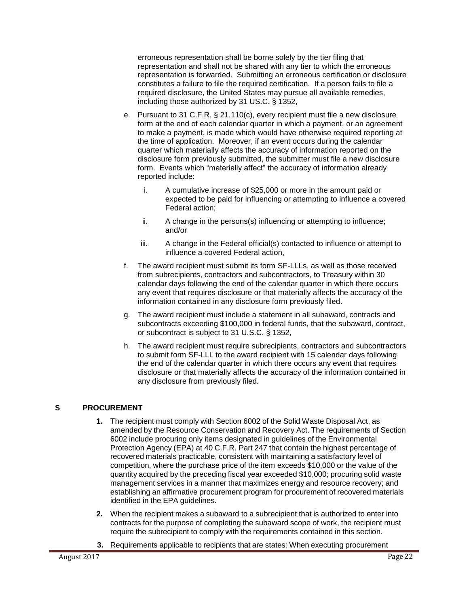erroneous representation shall be borne solely by the tier filing that representation and shall not be shared with any tier to which the erroneous representation is forwarded. Submitting an erroneous certification or disclosure constitutes a failure to file the required certification. If a person fails to file a required disclosure, the United States may pursue all available remedies, including those authorized by 31 US.C. § 1352,

- e. Pursuant to 31 C.F.R. § 21.110(c), every recipient must file a new disclosure form at the end of each calendar quarter in which a payment, or an agreement to make a payment, is made which would have otherwise required reporting at the time of application. Moreover, if an event occurs during the calendar quarter which materially affects the accuracy of information reported on the disclosure form previously submitted, the submitter must file a new disclosure form. Events which "materially affect" the accuracy of information already reported include:
	- i. A cumulative increase of \$25,000 or more in the amount paid or expected to be paid for influencing or attempting to influence a covered Federal action;
	- ii. A change in the persons(s) influencing or attempting to influence; and/or
	- iii. A change in the Federal official(s) contacted to influence or attempt to influence a covered Federal action,
- f. The award recipient must submit its form SF-LLLs, as well as those received from subrecipients, contractors and subcontractors, to Treasury within 30 calendar days following the end of the calendar quarter in which there occurs any event that requires disclosure or that materially affects the accuracy of the information contained in any disclosure form previously filed.
- g. The award recipient must include a statement in all subaward, contracts and subcontracts exceeding \$100,000 in federal funds, that the subaward, contract, or subcontract is subject to 31 U.S.C. § 1352,
- h. The award recipient must require subrecipients, contractors and subcontractors to submit form SF-LLL to the award recipient with 15 calendar days following the end of the calendar quarter in which there occurs any event that requires disclosure or that materially affects the accuracy of the information contained in any disclosure from previously filed.

#### <span id="page-23-0"></span>**S PROCUREMENT**

- **1.** The recipient must comply with Section 6002 of the Solid Waste Disposal Act, as amended by the Resource Conservation and Recovery Act. The requirements of Section 6002 include procuring only items designated in guidelines of the Environmental Protection Agency (EPA) at 40 C.F.R. Part 247 that contain the highest percentage of recovered materials practicable, consistent with maintaining a satisfactory level of competition, where the purchase price of the item exceeds \$10,000 or the value of the quantity acquired by the preceding fiscal year exceeded \$10,000; procuring solid waste management services in a manner that maximizes energy and resource recovery; and establishing an affirmative procurement program for procurement of recovered materials identified in the EPA guidelines.
- **2.** When the recipient makes a subaward to a subrecipient that is authorized to enter into contracts for the purpose of completing the subaward scope of work, the recipient must require the subrecipient to comply with the requirements contained in this section.
- **3.** Requirements applicable to recipients that are states: When executing procurement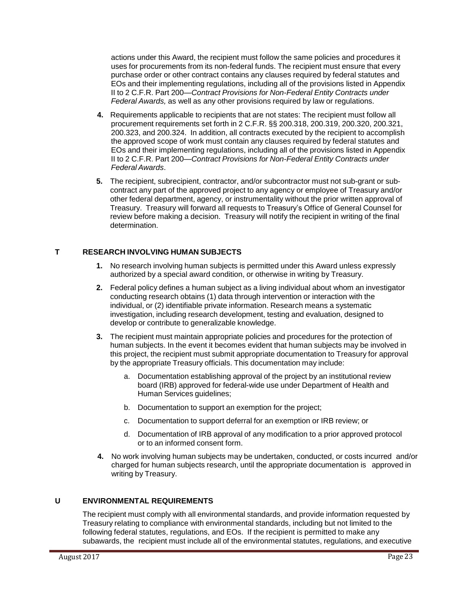actions under this Award, the recipient must follow the same policies and procedures it uses for procurements from its non-federal funds. The recipient must ensure that every purchase order or other contract contains any clauses required by federal statutes and EOs and their implementing regulations, including all of the provisions listed in Appendix II to 2 C.F.R. Part 200—*Contract Provisions for Non-Federal Entity Contracts under Federal Awards,* as well as any other provisions required by law or regulations.

- **4.** Requirements applicable to recipients that are not states: The recipient must follow all procurement requirements set forth in 2 C.F.R. §§ 200.318, 200.319, 200.320, 200.321, 200.323, and 200.324. In addition, all contracts executed by the recipient to accomplish the approved scope of work must contain any clauses required by federal statutes and EOs and their implementing regulations, including all of the provisions listed in Appendix II to 2 C.F.R. Part 200—*Contract Provisions for Non-Federal Entity Contracts under Federal Awards*.
- **5.** The recipient, subrecipient, contractor, and/or subcontractor must not sub-grant or subcontract any part of the approved project to any agency or employee of Treasury and/or other federal department, agency, or instrumentality without the prior written approval of Treasury. Treasury will forward all requests to Treasury's Office of General Counsel for review before making a decision. Treasury will notify the recipient in writing of the final determination.

#### <span id="page-24-0"></span>**T RESEARCH INVOLVING HUMAN SUBJECTS**

- **1.** No research involving human subjects is permitted under this Award unless expressly authorized by a special award condition, or otherwise in writing by Treasury.
- **2.** Federal policy defines a human subject as a living individual about whom an investigator conducting research obtains (1) data through intervention or interaction with the individual, or (2) identifiable private information. Research means a systematic investigation, including research development, testing and evaluation, designed to develop or contribute to generalizable knowledge.
- **3.** The recipient must maintain appropriate policies and procedures for the protection of human subjects. In the event it becomes evident that human subjects may be involved in this project, the recipient must submit appropriate documentation to Treasury for approval by the appropriate Treasury officials. This documentation may include:
	- a. Documentation establishing approval of the project by an institutional review board (IRB) approved for federal-wide use under Department of Health and Human Services guidelines;
	- b. Documentation to support an exemption for the project;
	- c. Documentation to support deferral for an exemption or IRB review; or
	- d. Documentation of IRB approval of any modification to a prior approved protocol or to an informed consent form.
- **4.** No work involving human subjects may be undertaken, conducted, or costs incurred and/or charged for human subjects research, until the appropriate documentation is approved in writing by Treasury.

#### <span id="page-24-1"></span>**U ENVIRONMENTAL REQUIREMENTS**

The recipient must comply with all environmental standards, and provide information requested by Treasury relating to compliance with environmental standards, including but not limited to the following federal statutes, regulations, and EOs. If the recipient is permitted to make any subawards, the recipient must include all of the environmental statutes, regulations, and executive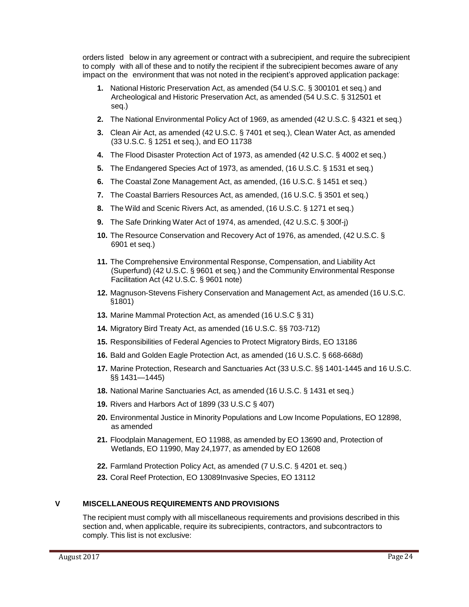orders listed below in any agreement or contract with a subrecipient, and require the subrecipient to comply with all of these and to notify the recipient if the subrecipient becomes aware of any impact on the environment that was not noted in the recipient's approved application package:

- **1.** National Historic Preservation Act, as amended (54 U.S.C. § 300101 et seq.) and Archeological and Historic Preservation Act, as amended (54 U.S.C. § 312501 et seq.)
- **2.** The National Environmental Policy Act of 1969, as amended (42 U.S.C. § 4321 et seq.)
- **3.** Clean Air Act, as amended (42 U.S.C. § 7401 et seq.), Clean Water Act, as amended (33 U.S.C. § 1251 et seq.), and EO 11738
- **4.** The Flood Disaster Protection Act of 1973, as amended (42 U.S.C. § 4002 et seq.)
- **5.** The Endangered Species Act of 1973, as amended, (16 U.S.C. § 1531 et seq.)
- **6.** The Coastal Zone Management Act, as amended, (16 U.S.C. § 1451 et seq.)
- **7.** The Coastal Barriers Resources Act, as amended, (16 U.S.C. § 3501 et seq.)
- **8.** The Wild and Scenic Rivers Act, as amended, (16 U.S.C. § 1271 et seq.)
- **9.** The Safe Drinking Water Act of 1974, as amended, (42 U.S.C. § 300f-j)
- **10.** The Resource Conservation and Recovery Act of 1976, as amended, (42 U.S.C. § 6901 et seq.)
- **11.** The Comprehensive Environmental Response, Compensation, and Liability Act (Superfund) (42 U.S.C. § 9601 et seq.) and the Community Environmental Response Facilitation Act (42 U.S.C. § 9601 note)
- **12.** Magnuson-Stevens Fishery Conservation and Management Act, as amended (16 U.S.C. §1801)
- **13.** Marine Mammal Protection Act, as amended (16 U.S.C § 31)
- **14.** Migratory Bird Treaty Act, as amended (16 U.S.C. §§ 703-712)
- **15.** Responsibilities of Federal Agencies to Protect Migratory Birds, EO 13186
- **16.** Bald and Golden Eagle Protection Act, as amended (16 U.S.C. § 668-668d)
- **17.** Marine Protection, Research and Sanctuaries Act (33 U.S.C. §§ 1401-1445 and 16 U.S.C. §§ 1431—1445)
- **18.** National Marine Sanctuaries Act, as amended (16 U.S.C. § 1431 et seq.)
- **19.** Rivers and Harbors Act of 1899 (33 U.S.C § 407)
- **20.** Environmental Justice in Minority Populations and Low Income Populations, EO 12898, as amended
- **21.** Floodplain Management, EO 11988, as amended by EO 13690 and, Protection of Wetlands, EO 11990, May 24,1977, as amended by EO 12608
- **22.** Farmland Protection Policy Act, as amended (7 U.S.C. § 4201 et. seq.)
- **23.** Coral Reef Protection, EO 13089Invasive Species, EO 13112

#### <span id="page-25-0"></span>**V MISCELLANEOUS REQUIREMENTS AND PROVISIONS**

The recipient must comply with all miscellaneous requirements and provisions described in this section and, when applicable, require its subrecipients, contractors, and subcontractors to comply. This list is not exclusive: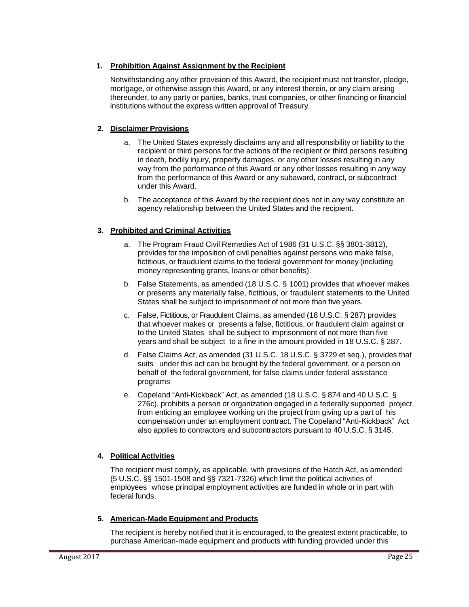#### **1. Prohibition Against Assignment by the Recipient**

Notwithstanding any other provision of this Award, the recipient must not transfer, pledge, mortgage, or otherwise assign this Award, or any interest therein, or any claim arising thereunder, to any party or parties, banks, trust companies, or other financing or financial institutions without the express written approval of Treasury.

#### **2. Disclaimer Provisions**

- a. The United States expressly disclaims any and all responsibility or liability to the recipient or third persons for the actions of the recipient or third persons resulting in death, bodily injury, property damages, or any other losses resulting in any way from the performance of this Award or any other losses resulting in any way from the performance of this Award or any subaward, contract, or subcontract under this Award.
- b. The acceptance of this Award by the recipient does not in any way constitute an agency relationship between the United States and the recipient.

#### **3. Prohibited and Criminal Activities**

- a. The Program Fraud Civil Remedies Act of 1986 (31 U.S.C. §§ 3801-3812), provides for the imposition of civil penalties against persons who make false, fictitious, or fraudulent claims to the federal government for money (including money representing grants, loans or other benefits).
- b. False Statements, as amended (18 U.S.C. § 1001) provides that whoever makes or presents any materially false, fictitious, or fraudulent statements to the United States shall be subject to imprisonment of not more than five years.
- c. False, Fictitious, or Fraudulent Claims, as amended (18 U.S.C. § 287) provides that whoever makes or presents a false, fictitious, or fraudulent claim against or to the United States shall be subject to imprisonment of not more than five years and shall be subject to a fine in the amount provided in 18 U.S.C. § 287.
- d. False Claims Act, as amended (31 U.S.C. 18 U.S.C. § 3729 et seq.), provides that suits under this act can be brought by the federal government, or a person on behalf of the federal government, for false claims under federal assistance programs
- e. Copeland "Anti-Kickback" Act, as amended (18 U.S.C. § 874 and 40 U.S.C. § 276c), prohibits a person or organization engaged in a federally supported project from enticing an employee working on the project from giving up a part of his compensation under an employment contract. The Copeland "Anti-Kickback" Act also applies to contractors and subcontractors pursuant to 40 U.S.C. § 3145.

#### **4. Political Activities**

The recipient must comply, as applicable, with provisions of the Hatch Act, as amended (5 U.S.C. §§ 1501-1508 and §§ 7321-7326) which limit the political activities of employees whose principal employment activities are funded in whole or in part with federal funds.

#### **5. American-Made Equipment and Products**

The recipient is hereby notified that it is encouraged, to the greatest extent practicable, to purchase American-made equipment and products with funding provided under this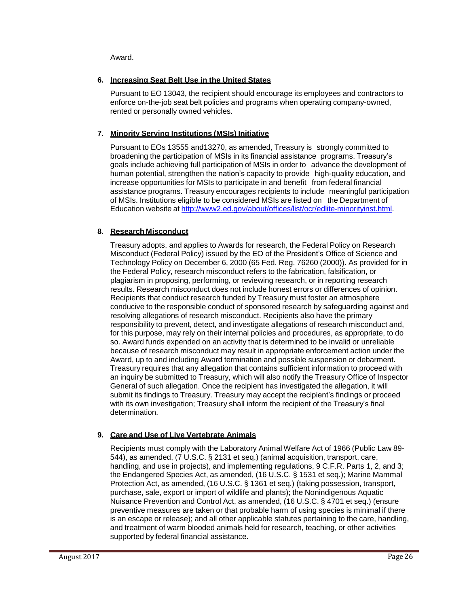Award.

#### **6. Increasing Seat Belt Use in the United States**

Pursuant to EO 13043, the recipient should encourage its employees and contractors to enforce on-the-job seat belt policies and programs when operating company-owned, rented or personally owned vehicles.

#### **7. Minority Serving Institutions (MSIs) Initiative**

Pursuant to EOs 13555 and13270, as amended, Treasury is strongly committed to broadening the participation of MSIs in its financial assistance programs. Treasury's goals include achieving full participation of MSIs in order to advance the development of human potential, strengthen the nation's capacity to provide high-quality education, and increase opportunities for MSIs to participate in and benefit from federal financial assistance programs. Treasury encourages recipients to include meaningful participation of MSIs. Institutions eligible to be considered MSIs are listed on the Department of Education website at [http://www2.ed.gov/about/offices/list/ocr/edlite-minorityinst.html.](http://www2.ed.gov/about/offices/list/ocr/edlite-minorityinst.html)

#### **8. Research Misconduct**

Treasury adopts, and applies to Awards for research, the Federal Policy on Research Misconduct (Federal Policy) issued by the EO of the President's Office of Science and Technology Policy on December 6, 2000 (65 Fed. Reg. 76260 (2000)). As provided for in the Federal Policy, research misconduct refers to the fabrication, falsification, or plagiarism in proposing, performing, or reviewing research, or in reporting research results. Research misconduct does not include honest errors or differences of opinion. Recipients that conduct research funded by Treasury must foster an atmosphere conducive to the responsible conduct of sponsored research by safeguarding against and resolving allegations of research misconduct. Recipients also have the primary responsibility to prevent, detect, and investigate allegations of research misconduct and, for this purpose, may rely on their internal policies and procedures, as appropriate, to do so. Award funds expended on an activity that is determined to be invalid or unreliable because of research misconduct may result in appropriate enforcement action under the Award, up to and including Award termination and possible suspension or debarment. Treasury requires that any allegation that contains sufficient information to proceed with an inquiry be submitted to Treasury, which will also notify the Treasury Office of Inspector General of such allegation. Once the recipient has investigated the allegation, it will submit its findings to Treasury. Treasury may accept the recipient's findings or proceed with its own investigation; Treasury shall inform the recipient of the Treasury's final determination.

#### **9. Care and Use of Live Vertebrate Animals**

Recipients must comply with the Laboratory Animal Welfare Act of 1966 (Public Law 89- 544), as amended, (7 U.S.C. § 2131 et seq.) (animal acquisition, transport, care, handling, and use in projects), and implementing regulations, 9 C.F.R. Parts 1, 2, and 3; the Endangered Species Act, as amended, (16 U.S.C. § 1531 et seq.); Marine Mammal Protection Act, as amended, (16 U.S.C. § 1361 et seq.) (taking possession, transport, purchase, sale, export or import of wildlife and plants); the Nonindigenous Aquatic Nuisance Prevention and Control Act, as amended, (16 U.S.C. § 4701 et seq.) (ensure preventive measures are taken or that probable harm of using species is minimal if there is an escape or release); and all other applicable statutes pertaining to the care, handling, and treatment of warm blooded animals held for research, teaching, or other activities supported by federal financial assistance.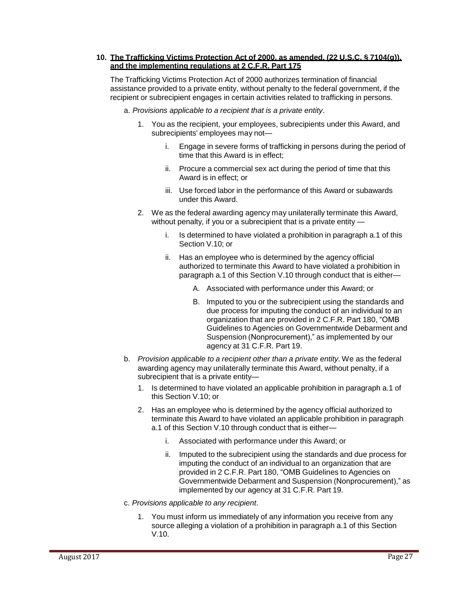#### **10. The Trafficking Victims Protection Act of 2000, as amended, (22 U.S.C. § 7104(g)), and the implementing regulations at 2 C.F.R. Part 175**

The Trafficking Victims Protection Act of 2000 authorizes termination of financial assistance provided to a private entity, without penalty to the federal government, if the recipient or subrecipient engages in certain activities related to trafficking in persons.

- a. *Provisions applicable to a recipient that is a private entity*.
	- 1. You as the recipient, your employees, subrecipients under this Award, and subrecipients' employees may not
		- i. Engage in severe forms of trafficking in persons during the period of time that this Award is in effect;
		- ii. Procure a commercial sex act during the period of time that this Award is in effect; or
		- iii. Use forced labor in the performance of this Award or subawards under this Award.
	- 2. We as the federal awarding agency may unilaterally terminate this Award, without penalty, if you or a subrecipient that is a private entity
		- i. Is determined to have violated a prohibition in paragraph a.1 of this Section V.10; or
		- ii. Has an employee who is determined by the agency official authorized to terminate this Award to have violated a prohibition in paragraph a.1 of this Section V.10 through conduct that is either—
			- A. Associated with performance under this Award; or
			- B. Imputed to you or the subrecipient using the standards and due process for imputing the conduct of an individual to an organization that are provided in 2 C.F.R. Part 180, "OMB Guidelines to Agencies on Governmentwide Debarment and Suspension (Nonprocurement)," as implemented by our agency at 31 C.F.R. Part 19.
- b. *Provision applicable to a recipient other than a private entity*. We as the federal awarding agency may unilaterally terminate this Award, without penalty, if a subrecipient that is a private entity—
	- 1. Is determined to have violated an applicable prohibition in paragraph a.1 of this Section V.10; or
	- 2. Has an employee who is determined by the agency official authorized to terminate this Award to have violated an applicable prohibition in paragraph a.1 of this Section V.10 through conduct that is either
		- i. Associated with performance under this Award; or
		- ii. Imputed to the subrecipient using the standards and due process for imputing the conduct of an individual to an organization that are provided in 2 C.F.R. Part 180, "OMB Guidelines to Agencies on Governmentwide Debarment and Suspension (Nonprocurement)," as implemented by our agency at 31 C.F.R. Part 19.
- c. *Provisions applicable to any recipient*.
	- 1. You must inform us immediately of any information you receive from any source alleging a violation of a prohibition in paragraph a.1 of this Section V.10.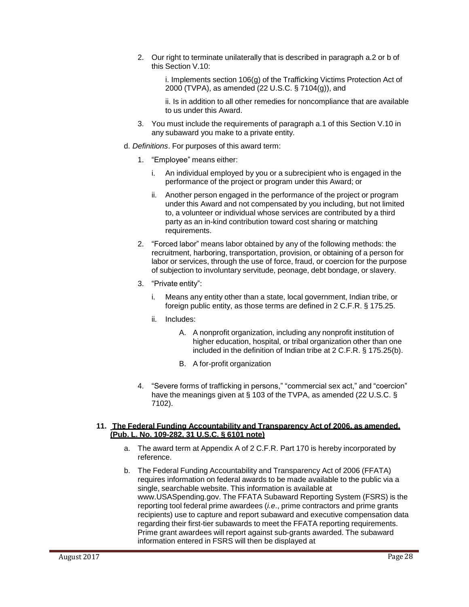2. Our right to terminate unilaterally that is described in paragraph a.2 or b of this Section V.10:

> i. Implements section 106(g) of the Trafficking Victims Protection Act of 2000 (TVPA), as amended (22 U.S.C. § 7104(g)), and

ii. Is in addition to all other remedies for noncompliance that are available to us under this Award.

- 3. You must include the requirements of paragraph a.1 of this Section V.10 in any subaward you make to a private entity.
- d. *Definitions*. For purposes of this award term:
	- 1. "Employee" means either:
		- i. An individual employed by you or a subrecipient who is engaged in the performance of the project or program under this Award; or
		- ii. Another person engaged in the performance of the project or program under this Award and not compensated by you including, but not limited to, a volunteer or individual whose services are contributed by a third party as an in-kind contribution toward cost sharing or matching requirements.
	- 2. "Forced labor" means labor obtained by any of the following methods: the recruitment, harboring, transportation, provision, or obtaining of a person for labor or services, through the use of force, fraud, or coercion for the purpose of subjection to involuntary servitude, peonage, debt bondage, or slavery.
	- 3. "Private entity":
		- i. Means any entity other than a state, local government, Indian tribe, or foreign public entity, as those terms are defined in 2 C.F.R. § 175.25.
		- ii. Includes:
			- A. A nonprofit organization, including any nonprofit institution of higher education, hospital, or tribal organization other than one included in the definition of Indian tribe at 2 C.F.R. § 175.25(b).
			- B. A for-profit organization
	- 4. "Severe forms of trafficking in persons," "commercial sex act," and "coercion" have the meanings given at § 103 of the TVPA, as amended (22 U.S.C. § 7102).

#### **11. The Federal Funding Accountability and Transparency Act of 2006, as amended, (Pub. L. No. 109-282, 31 U.S.C. § 6101 note)**

- a. The award term at Appendix A of 2 C.F.R. Part 170 is hereby incorporated by reference.
- b. The Federal Funding Accountability and Transparency Act of 2006 (FFATA) requires information on federal awards to be made available to the public via a single, searchable website. This information is available at [www.USASpending.gov.](http://www.usaspending.gov/) The FFATA Subaward Reporting System (FSRS) is the reporting tool federal prime awardees (*i.e*., prime contractors and prime grants recipients) use to capture and report subaward and executive compensation data regarding their first-tier subawards to meet the FFATA reporting requirements. Prime grant awardees will report against sub-grants awarded. The subaward information entered in FSRS will then be displayed at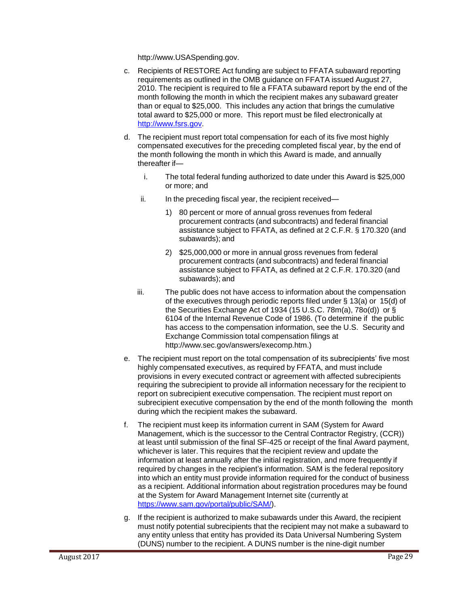http:/[/www.USASpending.gov.](http://www.usaspending.gov/)

- c. Recipients of RESTORE Act funding are subject to FFATA subaward reporting requirements as outlined in the OMB guidance on FFATA issued August 27, 2010. The recipient is required to file a FFATA subaward report by the end of the month following the month in which the recipient makes any subaward greater than or equal to \$25,000. This includes any action that brings the cumulative total award to \$25,000 or more. This report must be filed electronically at [http://www.fsrs.gov.](http://www.fsrs.gov/)
- d. The recipient must report total compensation for each of its five most highly compensated executives for the preceding completed fiscal year, by the end of the month following the month in which this Award is made, and annually thereafter if
	- i. The total federal funding authorized to date under this Award is \$25,000 or more; and
	- ii. In the preceding fiscal year, the recipient received—
		- 1) 80 percent or more of annual gross revenues from federal procurement contracts (and subcontracts) and federal financial assistance subject to FFATA, as defined at 2 C.F.R. § 170.320 (and subawards); and
		- 2) \$25,000,000 or more in annual gross revenues from federal procurement contracts (and subcontracts) and federal financial assistance subject to FFATA, as defined at 2 C.F.R. 170.320 (and subawards); and
	- iii. The public does not have access to information about the compensation of the executives through periodic reports filed under § 13(a) or 15(d) of the Securities Exchange Act of 1934 (15 U.S.C. 78m(a), 78o(d)) or § 6104 of the Internal Revenue Code of 1986. (To determine if the public has access to the compensation information, see the U.S. Security and Exchange Commission total compensation filings at [http://www.sec.gov/answers/execomp.htm.\)](http://www.sec.gov/answers/execomp.htm.))
- e. The recipient must report on the total compensation of its subrecipients' five most highly compensated executives, as required by FFATA, and must include provisions in every executed contract or agreement with affected subrecipients requiring the subrecipient to provide all information necessary for the recipient to report on subrecipient executive compensation. The recipient must report on subrecipient executive compensation by the end of the month following the month during which the recipient makes the subaward.
- f. The recipient must keep its information current in SAM (System for Award Management, which is the successor to the Central Contractor Registry, (CCR)) at least until submission of the final SF-425 or receipt of the final Award payment, whichever is later. This requires that the recipient review and update the information at least annually after the initial registration, and more frequently if required by changes in the recipient's information. SAM is the federal repository into which an entity must provide information required for the conduct of business as a recipient. Additional information about registration procedures may be found at the System for Award Management Internet site (currently at [https://www.sam.gov/portal/public/SAM/\)](https://www.sam.gov/portal/public/SAM/).
- g. If the recipient is authorized to make subawards under this Award, the recipient must notify potential subrecipients that the recipient may not make a subaward to any entity unless that entity has provided its Data Universal Numbering System (DUNS) number to the recipient. A DUNS number is the nine-digit number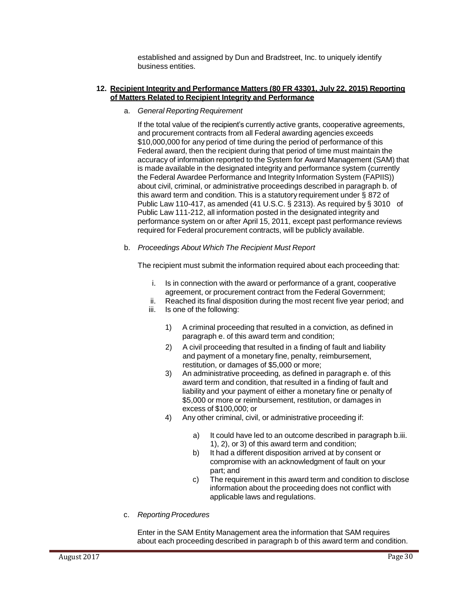established and assigned by Dun and Bradstreet, Inc. to uniquely identify business entities.

#### **12. Recipient Integrity and Performance Matters (80 FR 43301, July 22, 2015) Reporting of Matters Related to Recipient Integrity and Performance**

a. *General Reporting Requirement*

If the total value of the recipient's currently active grants, cooperative agreements, and procurement contracts from all Federal awarding agencies exceeds \$10,000,000 for any period of time during the period of performance of this Federal award, then the recipient during that period of time must maintain the accuracy of information reported to the System for Award Management (SAM) that is made available in the designated integrity and performance system (currently the Federal Awardee Performance and Integrity Information System (FAPIIS)) about civil, criminal, or administrative proceedings described in paragraph b. of this award term and condition. This is a statutory requirement under § 872 of Public Law 110-417, as amended (41 U.S.C. § 2313). As required by § 3010 of Public Law 111-212, all information posted in the designated integrity and performance system on or after April 15, 2011, except past performance reviews required for Federal procurement contracts, will be publicly available.

#### b. *Proceedings About Which The Recipient Must Report*

The recipient must submit the information required about each proceeding that:

- i. Is in connection with the award or performance of a grant, cooperative agreement, or procurement contract from the Federal Government;
- ii. Reached its final disposition during the most recent five year period; and
- iii. Is one of the following:
	- 1) A criminal proceeding that resulted in a conviction, as defined in paragraph e. of this award term and condition;
	- 2) A civil proceeding that resulted in a finding of fault and liability and payment of a monetary fine, penalty, reimbursement, restitution, or damages of \$5,000 or more;
	- 3) An administrative proceeding, as defined in paragraph e. of this award term and condition, that resulted in a finding of fault and liability and your payment of either a monetary fine or penalty of \$5,000 or more or reimbursement, restitution, or damages in excess of \$100,000; or
	- 4) Any other criminal, civil, or administrative proceeding if:
		- a) It could have led to an outcome described in paragraph b.iii. 1), 2), or 3) of this award term and condition;
		- b) It had a different disposition arrived at by consent or compromise with an acknowledgment of fault on your part; and
		- c) The requirement in this award term and condition to disclose information about the proceeding does not conflict with applicable laws and regulations.
- c. *ReportingProcedures*

Enter in the SAM Entity Management area the information that SAM requires about each proceeding described in paragraph b of this award term and condition.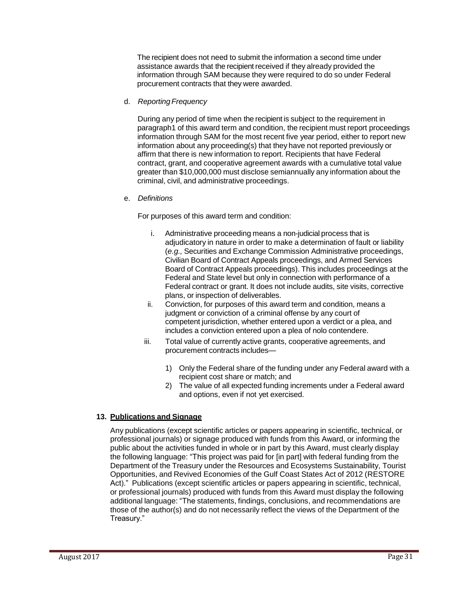The recipient does not need to submit the information a second time under assistance awards that the recipient received if they already provided the information through SAM because they were required to do so under Federal procurement contracts that they were awarded.

#### d. *ReportingFrequency*

During any period of time when the recipient is subject to the requirement in paragraph1 of this award term and condition, the recipient must report proceedings information through SAM for the most recent five year period, either to report new information about any proceeding(s) that they have not reported previously or affirm that there is new information to report. Recipients that have Federal contract, grant, and cooperative agreement awards with a cumulative total value greater than \$10,000,000 must disclose semiannually any information about the criminal, civil, and administrative proceedings.

e. *Definitions*

For purposes of this award term and condition:

- i. Administrative proceeding means a non-judicial process that is adjudicatory in nature in order to make a determination of fault or liability (*e.g.,* Securities and Exchange Commission Administrative proceedings, Civilian Board of Contract Appeals proceedings, and Armed Services Board of Contract Appeals proceedings). This includes proceedings at the Federal and State level but only in connection with performance of a Federal contract or grant. It does not include audits, site visits, corrective plans, or inspection of deliverables.
- ii. Conviction, for purposes of this award term and condition, means a judgment or conviction of a criminal offense by any court of competent jurisdiction, whether entered upon a verdict or a plea, and includes a conviction entered upon a plea of nolo contendere.
- iii. Total value of currently active grants, cooperative agreements, and procurement contracts includes—
	- 1) Only the Federal share of the funding under any Federal award with a recipient cost share or match; and
	- 2) The value of all expected funding increments under a Federal award and options, even if not yet exercised.

#### **13. Publications and Signage**

Any publications (except scientific articles or papers appearing in scientific, technical, or professional journals) or signage produced with funds from this Award, or informing the public about the activities funded in whole or in part by this Award, must clearly display the following language: "This project was paid for [in part] with federal funding from the Department of the Treasury under the Resources and Ecosystems Sustainability, Tourist Opportunities, and Revived Economies of the Gulf Coast States Act of 2012 (RESTORE Act)." Publications (except scientific articles or papers appearing in scientific, technical, or professional journals) produced with funds from this Award must display the following additional language: "The statements, findings, conclusions, and recommendations are those of the author(s) and do not necessarily reflect the views of the Department of the Treasury."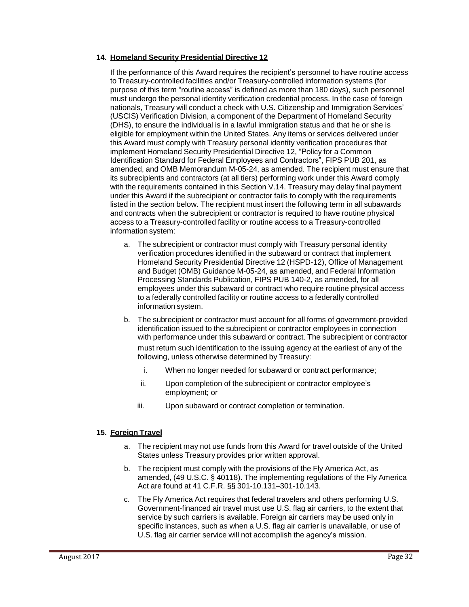#### **14. Homeland Security Presidential Directive 12**

If the performance of this Award requires the recipient's personnel to have routine access to Treasury-controlled facilities and/or Treasury-controlled information systems (for purpose of this term "routine access" is defined as more than 180 days), such personnel must undergo the personal identity verification credential process. In the case of foreign nationals, Treasury will conduct a check with U.S. Citizenship and Immigration Services' (USCIS) Verification Division, a component of the Department of Homeland Security (DHS), to ensure the individual is in a lawful immigration status and that he or she is eligible for employment within the United States. Any items or services delivered under this Award must comply with Treasury personal identity verification procedures that implement Homeland Security Presidential Directive 12, "Policy for a Common Identification Standard for Federal Employees and Contractors", FIPS PUB 201, as amended, and OMB Memorandum M-05-24, as amended. The recipient must ensure that its subrecipients and contractors (at all tiers) performing work under this Award comply with the requirements contained in this Section V.14. Treasury may delay final payment under this Award if the subrecipient or contractor fails to comply with the requirements listed in the section below. The recipient must insert the following term in all subawards and contracts when the subrecipient or contractor is required to have routine physical access to a Treasury-controlled facility or routine access to a Treasury-controlled information system:

- a. The subrecipient or contractor must comply with Treasury personal identity verification procedures identified in the subaward or contract that implement Homeland Security Presidential Directive 12 (HSPD-12), Office of Management and Budget (OMB) Guidance M-05-24, as amended, and Federal Information Processing Standards Publication, FIPS PUB 140-2, as amended, for all employees under this subaward or contract who require routine physical access to a federally controlled facility or routine access to a federally controlled information system.
- b. The subrecipient or contractor must account for all forms of government-provided identification issued to the subrecipient or contractor employees in connection with performance under this subaward or contract. The subrecipient or contractor must return such identification to the issuing agency at the earliest of any of the following, unless otherwise determined by Treasury:
	- i. When no longer needed for subaward or contract performance;
	- ii. Upon completion of the subrecipient or contractor employee's employment; or
	- iii. Upon subaward or contract completion or termination.

#### **15. Foreign Travel**

- a. The recipient may not use funds from this Award for travel outside of the United States unless Treasury provides prior written approval.
- b. The recipient must comply with the provisions of the Fly America Act, as amended, (49 U.S.C. § 40118). The implementing regulations of the Fly America Act are found at 41 C.F.R. §§ 301-10.131–301-10.143.
- c. The Fly America Act requires that federal travelers and others performing U.S. Government-financed air travel must use U.S. flag air carriers, to the extent that service by such carriers is available. Foreign air carriers may be used only in specific instances, such as when a U.S. flag air carrier is unavailable, or use of U.S. flag air carrier service will not accomplish the agency's mission.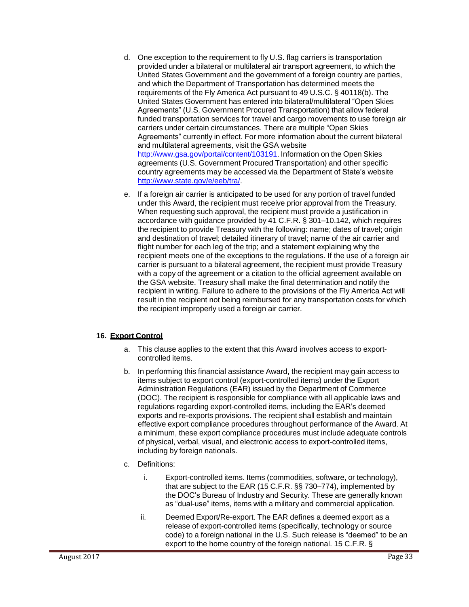- d. One exception to the requirement to fly U.S. flag carriers is transportation provided under a bilateral or multilateral air transport agreement, to which the United States Government and the government of a foreign country are parties, and which the Department of Transportation has determined meets the requirements of the Fly America Act pursuant to 49 U.S.C. § 40118(b). The United States Government has entered into bilateral/multilateral "Open Skies Agreements" (U.S. Government Procured Transportation) that allow federal funded transportation services for travel and cargo movements to use foreign air carriers under certain circumstances. There are multiple "Open Skies Agreements" currently in effect. For more information about the current bilateral and multilateral agreements, visit the GSA website [http://www.gsa.gov/portal/content/103191.](http://www.gsa.gov/portal/content/103191) Information on the Open Skies agreements (U.S. Government Procured Transportation) and other specific country agreements may be accessed via the Department of State's website [http://www.state.gov/e/eeb/tra/.](http://www.state.gov/e/eeb/tra/)
- e. If a foreign air carrier is anticipated to be used for any portion of travel funded under this Award, the recipient must receive prior approval from the Treasury. When requesting such approval, the recipient must provide a justification in accordance with guidance provided by 41 C.F.R. § 301–10.142, which requires the recipient to provide Treasury with the following: name; dates of travel; origin and destination of travel; detailed itinerary of travel; name of the air carrier and flight number for each leg of the trip; and a statement explaining why the recipient meets one of the exceptions to the regulations. If the use of a foreign air carrier is pursuant to a bilateral agreement, the recipient must provide Treasury with a copy of the agreement or a citation to the official agreement available on the GSA website. Treasury shall make the final determination and notify the recipient in writing. Failure to adhere to the provisions of the Fly America Act will result in the recipient not being reimbursed for any transportation costs for which the recipient improperly used a foreign air carrier.

#### **16. Export Control**

- a. This clause applies to the extent that this Award involves access to exportcontrolled items.
- b. In performing this financial assistance Award, the recipient may gain access to items subject to export control (export-controlled items) under the Export Administration Regulations (EAR) issued by the Department of Commerce (DOC). The recipient is responsible for compliance with all applicable laws and regulations regarding export-controlled items, including the EAR's deemed exports and re-exports provisions. The recipient shall establish and maintain effective export compliance procedures throughout performance of the Award. At a minimum, these export compliance procedures must include adequate controls of physical, verbal, visual, and electronic access to export-controlled items, including by foreign nationals.
- c. Definitions:
	- i. Export-controlled items. Items (commodities, software, or technology), that are subject to the EAR (15 C.F.R. §§ 730–774), implemented by the DOC's Bureau of Industry and Security. These are generally known as "dual-use" items, items with a military and commercial application.
	- ii. Deemed Export/Re-export. The EAR defines a deemed export as a release of export-controlled items (specifically, technology or source code) to a foreign national in the U.S. Such release is "deemed" to be an export to the home country of the foreign national. 15 C.F.R. §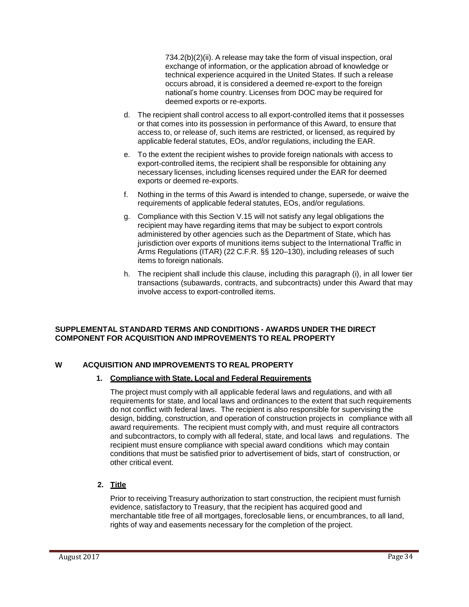734.2(b)(2)(ii). A release may take the form of visual inspection, oral exchange of information, or the application abroad of knowledge or technical experience acquired in the United States. If such a release occurs abroad, it is considered a deemed re-export to the foreign national's home country. Licenses from DOC may be required for deemed exports or re-exports.

- d. The recipient shall control access to all export-controlled items that it possesses or that comes into its possession in performance of this Award, to ensure that access to, or release of, such items are restricted, or licensed, as required by applicable federal statutes, EOs, and/or regulations, including the EAR.
- e. To the extent the recipient wishes to provide foreign nationals with access to export-controlled items, the recipient shall be responsible for obtaining any necessary licenses, including licenses required under the EAR for deemed exports or deemed re-exports.
- f. Nothing in the terms of this Award is intended to change, supersede, or waive the requirements of applicable federal statutes, EOs, and/or regulations.
- g. Compliance with this Section V.15 will not satisfy any legal obligations the recipient may have regarding items that may be subject to export controls administered by other agencies such as the Department of State, which has jurisdiction over exports of munitions items subject to the International Traffic in Arms Regulations (ITAR) (22 C.F.R. §§ 120–130), including releases of such items to foreign nationals.
- h. The recipient shall include this clause, including this paragraph (i), in all lower tier transactions (subawards, contracts, and subcontracts) under this Award that may involve access to export-controlled items.

#### **SUPPLEMENTAL STANDARD TERMS AND CONDITIONS - AWARDS UNDER THE DIRECT COMPONENT FOR ACQUISITION AND IMPROVEMENTS TO REAL PROPERTY**

#### <span id="page-35-0"></span>**W ACQUISITION AND IMPROVEMENTS TO REAL PROPERTY**

#### **1. Compliance with State, Local and Federal Requirements**

The project must comply with all applicable federal laws and regulations, and with all requirements for state, and local laws and ordinances to the extent that such requirements do not conflict with federal laws. The recipient is also responsible for supervising the design, bidding, construction, and operation of construction projects in compliance with all award requirements. The recipient must comply with, and must require all contractors and subcontractors, to comply with all federal, state, and local laws and regulations. The recipient must ensure compliance with special award conditions which may contain conditions that must be satisfied prior to advertisement of bids, start of construction, or other critical event.

**2. Title**

Prior to receiving Treasury authorization to start construction, the recipient must furnish evidence, satisfactory to Treasury, that the recipient has acquired good and merchantable title free of all mortgages, foreclosable liens, or encumbrances, to all land, rights of way and easements necessary for the completion of the project.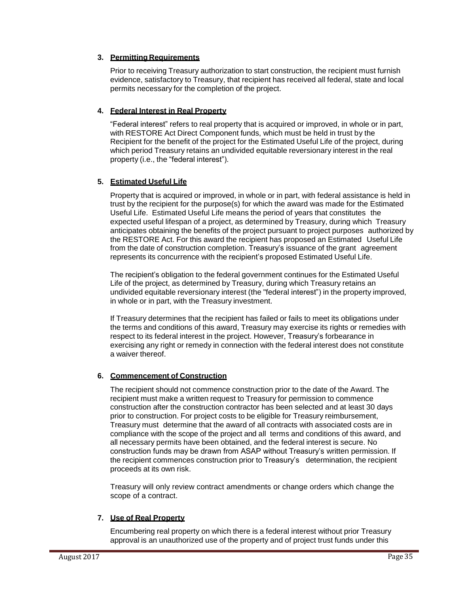#### **3. Permitting Requirements**

Prior to receiving Treasury authorization to start construction, the recipient must furnish evidence, satisfactory to Treasury, that recipient has received all federal, state and local permits necessary for the completion of the project.

#### **4. Federal Interest in Real Property**

"Federal interest" refers to real property that is acquired or improved, in whole or in part, with RESTORE Act Direct Component funds, which must be held in trust by the Recipient for the benefit of the project for the Estimated Useful Life of the project, during which period Treasury retains an undivided equitable reversionary interest in the real property (i.e., the "federal interest").

#### **5. Estimated Useful Life**

Property that is acquired or improved, in whole or in part, with federal assistance is held in trust by the recipient for the purpose(s) for which the award was made for the Estimated Useful Life. Estimated Useful Life means the period of years that constitutes the expected useful lifespan of a project, as determined by Treasury, during which Treasury anticipates obtaining the benefits of the project pursuant to project purposes authorized by the RESTORE Act. For this award the recipient has proposed an Estimated Useful Life from the date of construction completion. Treasury's issuance of the grant agreement represents its concurrence with the recipient's proposed Estimated Useful Life.

The recipient's obligation to the federal government continues for the Estimated Useful Life of the project, as determined by Treasury, during which Treasury retains an undivided equitable reversionary interest (the "federal interest") in the property improved, in whole or in part, with the Treasury investment.

If Treasury determines that the recipient has failed or fails to meet its obligations under the terms and conditions of this award, Treasury may exercise its rights or remedies with respect to its federal interest in the project. However, Treasury's forbearance in exercising any right or remedy in connection with the federal interest does not constitute a waiver thereof.

#### **6. Commencement of Construction**

The recipient should not commence construction prior to the date of the Award. The recipient must make a written request to Treasury for permission to commence construction after the construction contractor has been selected and at least 30 days prior to construction. For project costs to be eligible for Treasury reimbursement, Treasury must determine that the award of all contracts with associated costs are in compliance with the scope of the project and all terms and conditions of this award, and all necessary permits have been obtained, and the federal interest is secure. No construction funds may be drawn from ASAP without Treasury's written permission. If the recipient commences construction prior to Treasury's determination, the recipient proceeds at its own risk.

Treasury will only review contract amendments or change orders which change the scope of a contract.

#### **7. Use of Real Property**

Encumbering real property on which there is a federal interest without prior Treasury approval is an unauthorized use of the property and of project trust funds under this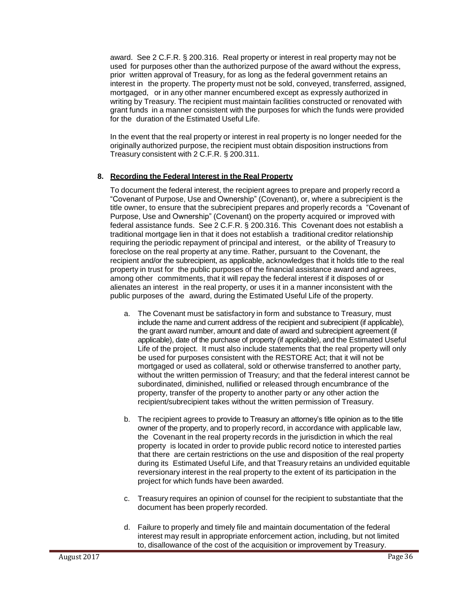award. See 2 C.F.R. § 200.316. Real property or interest in real property may not be used for purposes other than the authorized purpose of the award without the express, prior written approval of Treasury, for as long as the federal government retains an interest in the property. The property must not be sold, conveyed, transferred, assigned, mortgaged, or in any other manner encumbered except as expressly authorized in writing by Treasury. The recipient must maintain facilities constructed or renovated with grant funds in a manner consistent with the purposes for which the funds were provided for the duration of the Estimated Useful Life.

In the event that the real property or interest in real property is no longer needed for the originally authorized purpose, the recipient must obtain disposition instructions from Treasury consistent with 2 C.F.R. § 200.311.

#### **8. Recording the Federal Interest in the Real Property**

To document the federal interest, the recipient agrees to prepare and properly record a "Covenant of Purpose, Use and Ownership" (Covenant), or, where a subrecipient is the title owner, to ensure that the subrecipient prepares and properly records a "Covenant of Purpose, Use and Ownership" (Covenant) on the property acquired or improved with federal assistance funds. See 2 C.F.R. § 200.316. This Covenant does not establish a traditional mortgage lien in that it does not establish a traditional creditor relationship requiring the periodic repayment of principal and interest, or the ability of Treasury to foreclose on the real property at any time. Rather, pursuant to the Covenant, the recipient and/or the subrecipient, as applicable, acknowledges that it holds title to the real property in trust for the public purposes of the financial assistance award and agrees, among other commitments, that it will repay the federal interest if it disposes of or alienates an interest in the real property, or uses it in a manner inconsistent with the public purposes of the award, during the Estimated Useful Life of the property.

- a. The Covenant must be satisfactory in form and substance to Treasury, must include the name and current address of the recipient and subrecipient (if applicable), the grant award number, amount and date of award and subrecipient agreement (if applicable), date of the purchase of property (if applicable), and the Estimated Useful Life of the project. It must also include statements that the real property will only be used for purposes consistent with the RESTORE Act; that it will not be mortgaged or used as collateral, sold or otherwise transferred to another party, without the written permission of Treasury; and that the federal interest cannot be subordinated, diminished, nullified or released through encumbrance of the property, transfer of the property to another party or any other action the recipient/subrecipient takes without the written permission of Treasury.
- b. The recipient agrees to provide to Treasury an attorney's title opinion as to the title owner of the property, and to properly record, in accordance with applicable law, the Covenant in the real property records in the jurisdiction in which the real property is located in order to provide public record notice to interested parties that there are certain restrictions on the use and disposition of the real property during its Estimated Useful Life, and that Treasury retains an undivided equitable reversionary interest in the real property to the extent of its participation in the project for which funds have been awarded.
- c. Treasury requires an opinion of counsel for the recipient to substantiate that the document has been properly recorded.
- d. Failure to properly and timely file and maintain documentation of the federal interest may result in appropriate enforcement action, including, but not limited to, disallowance of the cost of the acquisition or improvement by Treasury.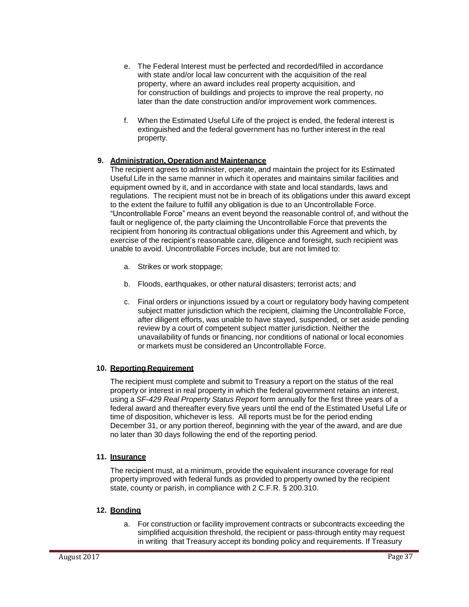- e. The Federal Interest must be perfected and recorded/filed in accordance with state and/or local law concurrent with the acquisition of the real property, where an award includes real property acquisition, and for construction of buildings and projects to improve the real property, no later than the date construction and/or improvement work commences.
- f. When the Estimated Useful Life of the project is ended, the federal interest is extinguished and the federal government has no further interest in the real property.

#### **9. Administration, Operation and Maintenance**

The recipient agrees to administer, operate, and maintain the project for its Estimated Useful Life in the same manner in which it operates and maintains similar facilities and equipment owned by it, and in accordance with state and local standards, laws and regulations. The recipient must not be in breach of its obligations under this award except to the extent the failure to fulfill any obligation is due to an Uncontrollable Force. "Uncontrollable Force" means an event beyond the reasonable control of, and without the fault or negligence of, the party claiming the Uncontrollable Force that prevents the recipient from honoring its contractual obligations under this Agreement and which, by exercise of the recipient's reasonable care, diligence and foresight, such recipient was unable to avoid. Uncontrollable Forces include, but are not limited to:

- a. Strikes or work stoppage;
- b. Floods, earthquakes, or other natural disasters; terrorist acts; and
- c. Final orders or injunctions issued by a court or regulatory body having competent subject matter jurisdiction which the recipient, claiming the Uncontrollable Force, after diligent efforts, was unable to have stayed, suspended, or set aside pending review by a court of competent subject matter jurisdiction. Neither the unavailability of funds or financing, nor conditions of national or local economies or markets must be considered an Uncontrollable Force.

#### **10. Reporting Requirement**

The recipient must complete and submit to Treasury a report on the status of the real property or interest in real property in which the federal government retains an interest, using a *SF-429 Real Property Status Report* form annually for the first three years of a federal award and thereafter every five years until the end of the Estimated Useful Life or time of disposition, whichever is less. All reports must be for the period ending December 31, or any portion thereof, beginning with the year of the award, and are due no later than 30 days following the end of the reporting period.

#### **11. Insurance**

The recipient must, at a minimum, provide the equivalent insurance coverage for real property improved with federal funds as provided to property owned by the recipient state, county or parish, in compliance with 2 C.F.R. § 200.310.

#### **12. Bonding**

a. For construction or facility improvement contracts or subcontracts exceeding the simplified acquisition threshold, the recipient or pass-through entity may request in writing that Treasury accept its bonding policy and requirements. If Treasury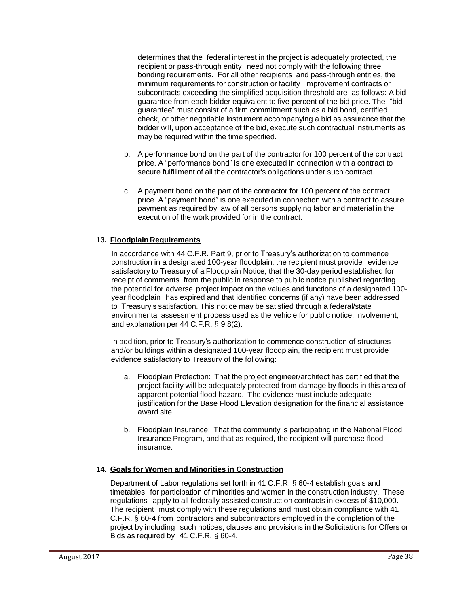determines that the federal interest in the project is adequately protected, the recipient or pass-through entity need not comply with the following three bonding requirements. For all other recipients and pass-through entities, the minimum requirements for construction or facility improvement contracts or subcontracts exceeding the simplified acquisition threshold are as follows: A bid guarantee from each bidder equivalent to five percent of the bid price. The "bid guarantee" must consist of a firm commitment such as a bid bond, certified check, or other negotiable instrument accompanying a bid as assurance that the bidder will, upon acceptance of the bid, execute such contractual instruments as may be required within the time specified.

- b. A performance bond on the part of the contractor for 100 percent of the contract price. A "performance bond" is one executed in connection with a contract to secure fulfillment of all the contractor's obligations under such contract.
- c. A payment bond on the part of the contractor for 100 percent of the contract price. A "payment bond" is one executed in connection with a contract to assure payment as required by law of all persons supplying labor and material in the execution of the work provided for in the contract.

#### **13. Floodplain Requirements**

In accordance with 44 C.F.R. Part 9, prior to Treasury's authorization to commence construction in a designated 100-year floodplain, the recipient must provide evidence satisfactory to Treasury of a Floodplain Notice, that the 30-day period established for receipt of comments from the public in response to public notice published regarding the potential for adverse project impact on the values and functions of a designated 100 year floodplain has expired and that identified concerns (if any) have been addressed to Treasury's satisfaction. This notice may be satisfied through a federal/state environmental assessment process used as the vehicle for public notice, involvement, and explanation per 44 C.F.R. § 9.8(2).

In addition, prior to Treasury's authorization to commence construction of structures and/or buildings within a designated 100-year floodplain, the recipient must provide evidence satisfactory to Treasury of the following:

- a. Floodplain Protection: That the project engineer/architect has certified that the project facility will be adequately protected from damage by floods in this area of apparent potential flood hazard. The evidence must include adequate justification for the Base Flood Elevation designation for the financial assistance award site.
- b. Floodplain Insurance: That the community is participating in the National Flood Insurance Program, and that as required, the recipient will purchase flood insurance.

#### **14. Goals for Women and Minorities in Construction**

Department of Labor regulations set forth in 41 C.F.R. § 60-4 establish goals and timetables for participation of minorities and women in the construction industry. These regulations apply to all federally assisted construction contracts in excess of \$10,000. The recipient must comply with these regulations and must obtain compliance with 41 C.F.R. § 60-4 from contractors and subcontractors employed in the completion of the project by including such notices, clauses and provisions in the Solicitations for Offers or Bids as required by 41 C.F.R. § 60-4.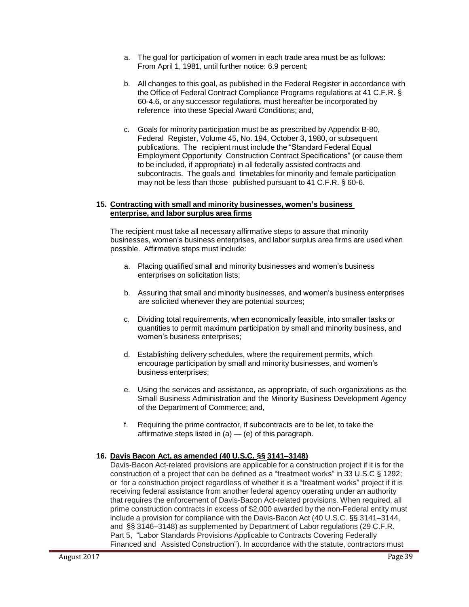- a. The goal for participation of women in each trade area must be as follows: From April 1, 1981, until further notice: 6.9 percent;
- b. All changes to this goal, as published in the Federal Register in accordance with the Office of Federal Contract Compliance Programs regulations at 41 C.F.R. § 60-4.6, or any successor regulations, must hereafter be incorporated by reference into these Special Award Conditions; and,
- c. Goals for minority participation must be as prescribed by Appendix B-80, Federal Register, Volume 45, No. 194, October 3, 1980, or subsequent publications. The recipient must include the "Standard Federal Equal Employment Opportunity Construction Contract Specifications" (or cause them to be included, if appropriate) in all federally assisted contracts and subcontracts. The goals and timetables for minority and female participation may not be less than those published pursuant to 41 C.F.R. § 60-6.

#### **15. Contracting with small and minority businesses, women's business enterprise, and labor surplus area firms**

The recipient must take all necessary affirmative steps to assure that minority businesses, women's business enterprises, and labor surplus area firms are used when possible. Affirmative steps must include:

- a. Placing qualified small and minority businesses and women's business enterprises on solicitation lists;
- b. Assuring that small and minority businesses, and women's business enterprises are solicited whenever they are potential sources;
- c. Dividing total requirements, when economically feasible, into smaller tasks or quantities to permit maximum participation by small and minority business, and women's business enterprises;
- d. Establishing delivery schedules, where the requirement permits, which encourage participation by small and minority businesses, and women's business enterprises;
- e. Using the services and assistance, as appropriate, of such organizations as the Small Business Administration and the Minority Business Development Agency of the Department of Commerce; and,
- f. Requiring the prime contractor, if subcontracts are to be let, to take the affirmative steps listed in  $(a)$  — (e) of this paragraph.

#### **16. Davis Bacon Act, as amended (40 U.S.C. §§ 3141–3148)**

Davis-Bacon Act-related provisions are applicable for a construction project if it is for the construction of a project that can be defined as a "treatment works" in 33 U.S.C § 1292; or for a construction project regardless of whether it is a "treatment works" project if it is receiving federal assistance from another federal agency operating under an authority that requires the enforcement of Davis-Bacon Act-related provisions. When required, all prime construction contracts in excess of \$2,000 awarded by the non-Federal entity must include a provision for compliance with the Davis-Bacon Act (40 U.S.C. §§ 3141–3144, and §§ 3146–3148) as supplemented by Department of Labor regulations (29 C.F.R. Part 5, "Labor Standards Provisions Applicable to Contracts Covering Federally Financed and Assisted Construction"). In accordance with the statute, contractors must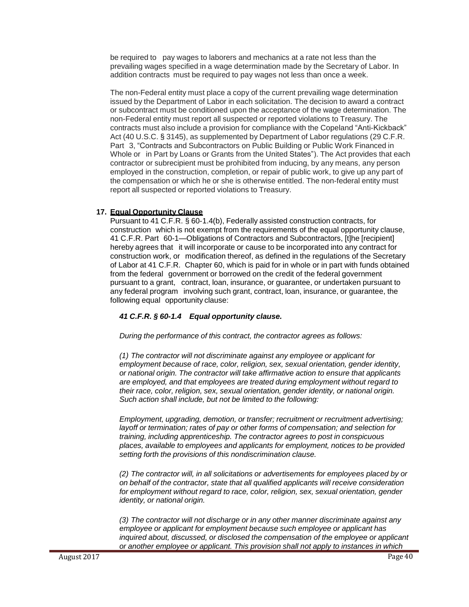be required to pay wages to laborers and mechanics at a rate not less than the prevailing wages specified in a wage determination made by the Secretary of Labor. In addition contracts must be required to pay wages not less than once a week.

The non-Federal entity must place a copy of the current prevailing wage determination issued by the Department of Labor in each solicitation. The decision to award a contract or subcontract must be conditioned upon the acceptance of the wage determination. The non-Federal entity must report all suspected or reported violations to Treasury. The contracts must also include a provision for compliance with the Copeland "Anti-Kickback" Act (40 U.S.C. § 3145), as supplemented by Department of Labor regulations (29 C.F.R. Part 3, "Contracts and Subcontractors on Public Building or Public Work Financed in Whole or in Part by Loans or Grants from the United States"). The Act provides that each contractor or subrecipient must be prohibited from inducing, by any means, any person employed in the construction, completion, or repair of public work, to give up any part of the compensation or which he or she is otherwise entitled. The non-federal entity must report all suspected or reported violations to Treasury.

#### **17. Equal Opportunity Clause**

Pursuant to 41 C.F.R. § 60-1.4(b), Federally assisted construction contracts, for construction which is not exempt from the requirements of the equal opportunity clause, 41 C.F.R. Part 60-1—Obligations of Contractors and Subcontractors, [t]he [recipient] hereby agrees that it will incorporate or cause to be incorporated into any contract for construction work, or modification thereof, as defined in the regulations of the Secretary of Labor at 41 C.F.R. Chapter 60, which is paid for in whole or in part with funds obtained from the federal government or borrowed on the credit of the federal government pursuant to a grant, contract, loan, insurance, or guarantee, or undertaken pursuant to any federal program involving such grant, contract, loan, insurance, or guarantee, the following equal opportunity clause:

#### *41 C.F.R. § 60-1.4 Equal opportunity clause.*

*During the performance of this contract, the contractor agrees as follows:*

*(1) The contractor will not discriminate against any employee or applicant for employment because of race, color, religion, sex, sexual orientation, gender identity, or national origin. The contractor will take affirmative action to ensure that applicants are employed, and that employees are treated during employment without regard to their race, color, religion, sex, sexual orientation, gender identity, or national origin. Such action shall include, but not be limited to the following:*

*Employment, upgrading, demotion, or transfer; recruitment or recruitment advertising; layoff or termination; rates of pay or other forms of compensation; and selection for training, including apprenticeship. The contractor agrees to post in conspicuous places, available to employees and applicants for employment, notices to be provided setting forth the provisions of this nondiscrimination clause.*

*(2) The contractor will, in all solicitations or advertisements for employees placed by or on behalf of the contractor, state that all qualified applicants will receive consideration for employment without regard to race, color, religion, sex, sexual orientation, gender identity, or national origin.*

*(3) The contractor will not discharge or in any other manner discriminate against any employee or applicant for employment because such employee or applicant has inquired about, discussed, or disclosed the compensation of the employee or applicant or another employee or applicant. This provision shall not apply to instances in which*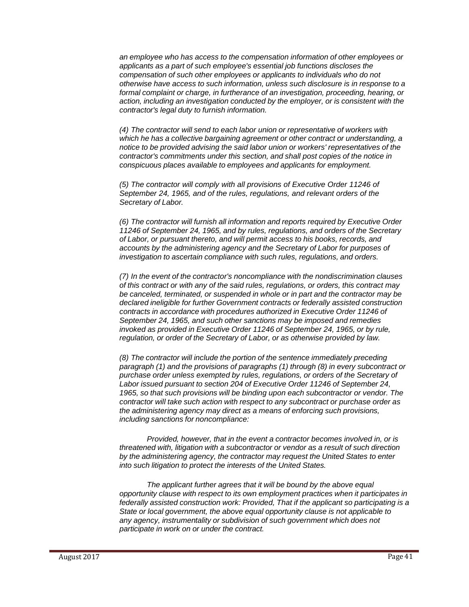*an employee who has access to the compensation information of other employees or applicants as a part of such employee's essential job functions discloses the compensation of such other employees or applicants to individuals who do not otherwise have access to such information, unless such disclosure is in response to a formal complaint or charge, in furtherance of an investigation, proceeding, hearing, or action, including an investigation conducted by the employer, or is consistent with the contractor's legal duty to furnish information.*

*(4) The contractor will send to each labor union or representative of workers with which he has a collective bargaining agreement or other contract or understanding, a notice to be provided advising the said labor union or workers' representatives of the contractor's commitments under this section, and shall post copies of the notice in conspicuous places available to employees and applicants for employment.*

*(5) The contractor will comply with all provisions of Executive Order 11246 of September 24, 1965, and of the rules, regulations, and relevant orders of the Secretary of Labor.*

*(6) The contractor will furnish all information and reports required by Executive Order 11246 of September 24, 1965, and by rules, regulations, and orders of the Secretary of Labor, or pursuant thereto, and will permit access to his books, records, and accounts by the administering agency and the Secretary of Labor for purposes of investigation to ascertain compliance with such rules, regulations, and orders.*

*(7) In the event of the contractor's noncompliance with the nondiscrimination clauses of this contract or with any of the said rules, regulations, or orders, this contract may be canceled, terminated, or suspended in whole or in part and the contractor may be declared ineligible for further Government contracts or federally assisted construction contracts in accordance with procedures authorized in Executive Order 11246 of September 24, 1965, and such other sanctions may be imposed and remedies invoked as provided in Executive Order 11246 of September 24, 1965, or by rule, regulation, or order of the Secretary of Labor, or as otherwise provided by law.*

*(8) The contractor will include the portion of the sentence immediately preceding paragraph (1) and the provisions of paragraphs (1) through (8) in every subcontract or purchase order unless exempted by rules, regulations, or orders of the Secretary of Labor issued pursuant to section 204 of Executive Order 11246 of September 24, 1965, so that such provisions will be binding upon each subcontractor or vendor. The contractor will take such action with respect to any subcontract or purchase order as the administering agency may direct as a means of enforcing such provisions, including sanctions for noncompliance:*

*Provided, however, that in the event a contractor becomes involved in, or is threatened with, litigation with a subcontractor or vendor as a result of such direction by the administering agency, the contractor may request the United States to enter into such litigation to protect the interests of the United States.*

*The applicant further agrees that it will be bound by the above equal opportunity clause with respect to its own employment practices when it participates in federally assisted construction work: Provided, That if the applicant so participating is a State or local government, the above equal opportunity clause is not applicable to any agency, instrumentality or subdivision of such government which does not participate in work on or under the contract.*